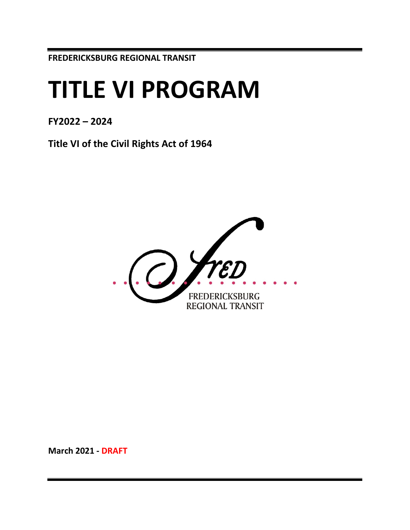**FREDERICKSBURG REGIONAL TRANSIT**

# **TITLE VI PROGRAM**

**FY2022 – 2024**

**Title VI of the Civil Rights Act of 1964**



**March 2021 - DRAFT**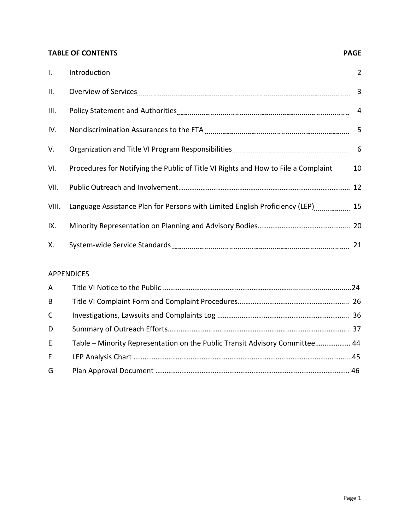# **TABLE OF CONTENTS PAGE**

| $\mathbf{I}$ . |                                                                                       |    |
|----------------|---------------------------------------------------------------------------------------|----|
| II.            |                                                                                       |    |
| III.           |                                                                                       |    |
| IV.            |                                                                                       |    |
| V.             |                                                                                       |    |
| VI.            | Procedures for Notifying the Public of Title VI Rights and How to File a Complaint 10 |    |
| VII.           |                                                                                       |    |
| VIII.          | Language Assistance Plan for Persons with Limited English Proficiency (LEP) 15        |    |
| IX.            |                                                                                       |    |
| Х.             |                                                                                       | 21 |

# APPENDICES

| $\mathsf{A}$ |                                                                             |  |
|--------------|-----------------------------------------------------------------------------|--|
| B            |                                                                             |  |
| $\mathsf{C}$ |                                                                             |  |
| D            |                                                                             |  |
| E            | Table - Minority Representation on the Public Transit Advisory Committee 44 |  |
| F            |                                                                             |  |
| G            |                                                                             |  |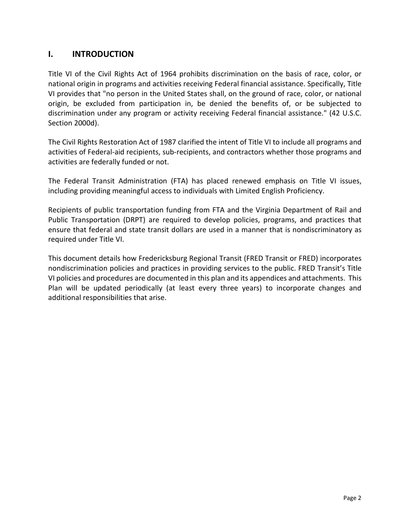# **I. INTRODUCTION**

Title VI of the Civil Rights Act of 1964 prohibits discrimination on the basis of race, color, or national origin in programs and activities receiving Federal financial assistance. Specifically, Title VI provides that "no person in the United States shall, on the ground of race, color, or national origin, be excluded from participation in, be denied the benefits of, or be subjected to discrimination under any program or activity receiving Federal financial assistance." (42 U.S.C. Section 2000d).

The Civil Rights Restoration Act of 1987 clarified the intent of Title VI to include all programs and activities of Federal-aid recipients, sub-recipients, and contractors whether those programs and activities are federally funded or not.

The Federal Transit Administration (FTA) has placed renewed emphasis on Title VI issues, including providing meaningful access to individuals with Limited English Proficiency.

Recipients of public transportation funding from FTA and the Virginia Department of Rail and Public Transportation (DRPT) are required to develop policies, programs, and practices that ensure that federal and state transit dollars are used in a manner that is nondiscriminatory as required under Title VI.

This document details how Fredericksburg Regional Transit (FRED Transit or FRED) incorporates nondiscrimination policies and practices in providing services to the public. FRED Transit's Title VI policies and procedures are documented in this plan and its appendices and attachments. This Plan will be updated periodically (at least every three years) to incorporate changes and additional responsibilities that arise.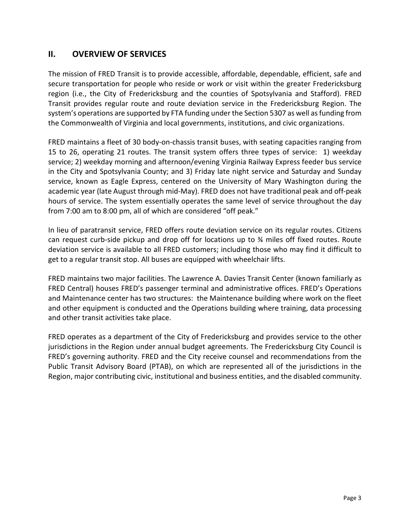# **II. OVERVIEW OF SERVICES**

The mission of FRED Transit is to provide accessible, affordable, dependable, efficient, safe and secure transportation for people who reside or work or visit within the greater Fredericksburg region (i.e., the City of Fredericksburg and the counties of Spotsylvania and Stafford). FRED Transit provides regular route and route deviation service in the Fredericksburg Region. The system's operations are supported by FTA funding under the Section 5307 as well as funding from the Commonwealth of Virginia and local governments, institutions, and civic organizations.

FRED maintains a fleet of 30 body-on-chassis transit buses, with seating capacities ranging from 15 to 26, operating 21 routes. The transit system offers three types of service: 1) weekday service; 2) weekday morning and afternoon/evening Virginia Railway Express feeder bus service in the City and Spotsylvania County; and 3) Friday late night service and Saturday and Sunday service, known as Eagle Express, centered on the University of Mary Washington during the academic year (late August through mid-May). FRED does not have traditional peak and off-peak hours of service. The system essentially operates the same level of service throughout the day from 7:00 am to 8:00 pm, all of which are considered "off peak."

In lieu of paratransit service, FRED offers route deviation service on its regular routes. Citizens can request curb-side pickup and drop off for locations up to ¾ miles off fixed routes. Route deviation service is available to all FRED customers; including those who may find it difficult to get to a regular transit stop. All buses are equipped with wheelchair lifts.

FRED maintains two major facilities. The Lawrence A. Davies Transit Center (known familiarly as FRED Central) houses FRED's passenger terminal and administrative offices. FRED's Operations and Maintenance center has two structures: the Maintenance building where work on the fleet and other equipment is conducted and the Operations building where training, data processing and other transit activities take place.

FRED operates as a department of the City of Fredericksburg and provides service to the other jurisdictions in the Region under annual budget agreements. The Fredericksburg City Council is FRED's governing authority. FRED and the City receive counsel and recommendations from the Public Transit Advisory Board (PTAB), on which are represented all of the jurisdictions in the Region, major contributing civic, institutional and business entities, and the disabled community.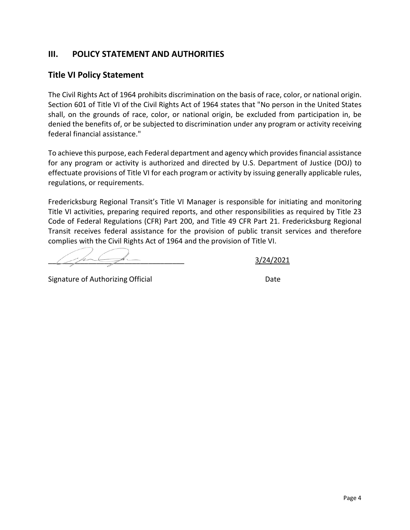# **III. POLICY STATEMENT AND AUTHORITIES**

# **Title VI Policy Statement**

The Civil Rights Act of 1964 prohibits discrimination on the basis of race, color, or national origin. Section 601 of Title VI of the Civil Rights Act of 1964 states that "No person in the United States shall, on the grounds of race, color, or national origin, be excluded from participation in, be denied the benefits of, or be subjected to discrimination under any program or activity receiving federal financial assistance."

To achieve this purpose, each Federal department and agency which provides financial assistance for any program or activity is authorized and directed by U.S. Department of Justice (DOJ) to effectuate provisions of Title VI for each program or activity by issuing generally applicable rules, regulations, or requirements.

Fredericksburg Regional Transit's Title VI Manager is responsible for initiating and monitoring Title VI activities, preparing required reports, and other responsibilities as required by Title 23 Code of Federal Regulations (CFR) Part 200, and Title 49 CFR Part 21. Fredericksburg Regional Transit receives federal assistance for the provision of public transit services and therefore complies with the Civil Rights Act of 1964 and the provision of Title VI.

\_\_\_\_\_\_\_\_\_\_\_\_\_\_\_\_\_\_\_\_\_\_\_\_\_\_\_\_\_\_\_\_\_\_ 3/24/2021

Signature of Authorizing Official Date Date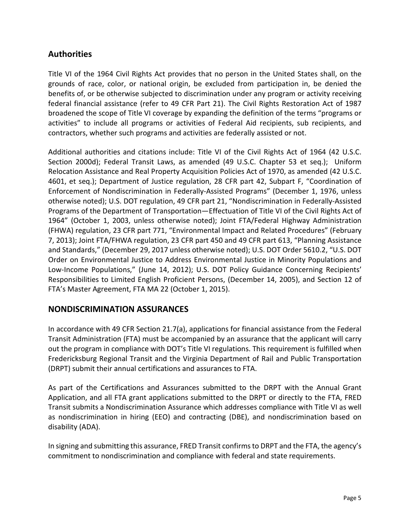# **Authorities**

Title VI of the 1964 Civil Rights Act provides that no person in the United States shall, on the grounds of race, color, or national origin, be excluded from participation in, be denied the benefits of, or be otherwise subjected to discrimination under any program or activity receiving federal financial assistance (refer to 49 CFR Part 21). The Civil Rights Restoration Act of 1987 broadened the scope of Title VI coverage by expanding the definition of the terms "programs or activities" to include all programs or activities of Federal Aid recipients, sub recipients, and contractors, whether such programs and activities are federally assisted or not.

Additional authorities and citations include: Title VI of the Civil Rights Act of 1964 (42 U.S.C. Section 2000d); Federal Transit Laws, as amended (49 U.S.C. Chapter 53 et seq.); Uniform Relocation Assistance and Real Property Acquisition Policies Act of 1970, as amended (42 U.S.C. 4601, et seq.); Department of Justice regulation, 28 CFR part 42, Subpart F, "Coordination of Enforcement of Nondiscrimination in Federally-Assisted Programs" (December 1, 1976, unless otherwise noted); U.S. DOT regulation, 49 CFR part 21, "Nondiscrimination in Federally-Assisted Programs of the Department of Transportation—Effectuation of Title VI of the Civil Rights Act of 1964" (October 1, 2003, unless otherwise noted); Joint FTA/Federal Highway Administration (FHWA) regulation, 23 CFR part 771, "Environmental Impact and Related Procedures" (February 7, 2013); Joint FTA/FHWA regulation, 23 CFR part 450 and 49 CFR part 613, "Planning Assistance and Standards," (December 29, 2017 unless otherwise noted); U.S. DOT Order 5610.2, "U.S. DOT Order on Environmental Justice to Address Environmental Justice in Minority Populations and Low-Income Populations," (June 14, 2012); U.S. DOT Policy Guidance Concerning Recipients' Responsibilities to Limited English Proficient Persons, (December 14, 2005), and Section 12 of FTA's Master Agreement, FTA MA 22 (October 1, 2015).

# **NONDISCRIMINATION ASSURANCES**

In accordance with 49 CFR Section 21.7(a), applications for financial assistance from the Federal Transit Administration (FTA) must be accompanied by an assurance that the applicant will carry out the program in compliance with DOT's Title VI regulations. This requirement is fulfilled when Fredericksburg Regional Transit and the Virginia Department of Rail and Public Transportation (DRPT) submit their annual certifications and assurances to FTA.

As part of the Certifications and Assurances submitted to the DRPT with the Annual Grant Application, and all FTA grant applications submitted to the DRPT or directly to the FTA, FRED Transit submits a Nondiscrimination Assurance which addresses compliance with Title VI as well as nondiscrimination in hiring (EEO) and contracting (DBE), and nondiscrimination based on disability (ADA).

In signing and submitting this assurance, FRED Transit confirms to DRPT and the FTA, the agency's commitment to nondiscrimination and compliance with federal and state requirements.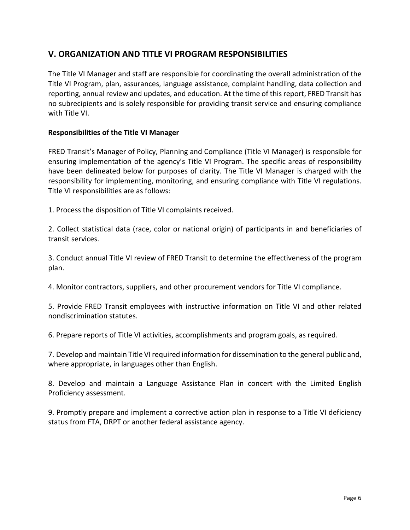# **V. ORGANIZATION AND TITLE VI PROGRAM RESPONSIBILITIES**

The Title VI Manager and staff are responsible for coordinating the overall administration of the Title VI Program, plan, assurances, language assistance, complaint handling, data collection and reporting, annual review and updates, and education. At the time of this report, FRED Transit has no subrecipients and is solely responsible for providing transit service and ensuring compliance with Title VI.

#### **Responsibilities of the Title VI Manager**

FRED Transit's Manager of Policy, Planning and Compliance (Title VI Manager) is responsible for ensuring implementation of the agency's Title VI Program. The specific areas of responsibility have been delineated below for purposes of clarity. The Title VI Manager is charged with the responsibility for implementing, monitoring, and ensuring compliance with Title VI regulations. Title VI responsibilities are as follows:

1. Process the disposition of Title VI complaints received.

2. Collect statistical data (race, color or national origin) of participants in and beneficiaries of transit services.

3. Conduct annual Title VI review of FRED Transit to determine the effectiveness of the program plan.

4. Monitor contractors, suppliers, and other procurement vendors for Title VI compliance.

5. Provide FRED Transit employees with instructive information on Title VI and other related nondiscrimination statutes.

6. Prepare reports of Title VI activities, accomplishments and program goals, as required.

7. Develop and maintain Title VI required information for dissemination to the general public and, where appropriate, in languages other than English.

8. Develop and maintain a Language Assistance Plan in concert with the Limited English Proficiency assessment.

9. Promptly prepare and implement a corrective action plan in response to a Title VI deficiency status from FTA, DRPT or another federal assistance agency.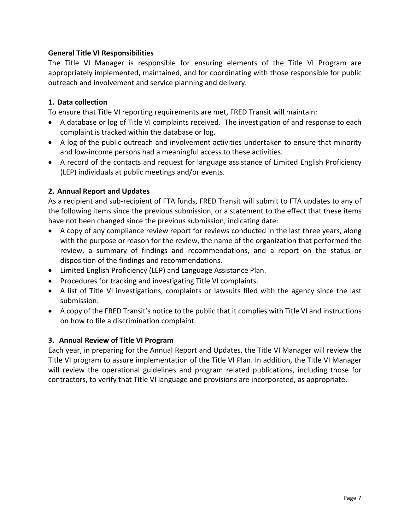#### **General Title VI Responsibilities**

The Title VI Manager is responsible for ensuring elements of the Title VI Program are appropriately implemented, maintained, and for coordinating with those responsible for public outreach and involvement and service planning and delivery.

#### **1. Data collection**

To ensure that Title VI reporting requirements are met, FRED Transit will maintain:

- A database or log of Title VI complaints received. The investigation of and response to each complaint is tracked within the database or log.
- A log of the public outreach and involvement activities undertaken to ensure that minority and low-income persons had a meaningful access to these activities.
- A record of the contacts and request for language assistance of Limited English Proficiency (LEP) individuals at public meetings and/or events.

#### **2. Annual Report and Updates**

As a recipient and sub-recipient of FTA funds, FRED Transit will submit to FTA updates to any of the following items since the previous submission, or a statement to the effect that these items have not been changed since the previous submission, indicating date:

- A copy of any compliance review report for reviews conducted in the last three years, along with the purpose or reason for the review, the name of the organization that performed the review, a summary of findings and recommendations, and a report on the status or disposition of the findings and recommendations.
- Limited English Proficiency (LEP) and Language Assistance Plan.
- Procedures for tracking and investigating Title VI complaints.
- A list of Title VI investigations, complaints or lawsuits filed with the agency since the last submission.
- A copy of the FRED Transit's notice to the public that it complies with Title VI and instructions on how to file a discrimination complaint.

### **3. Annual Review of Title VI Program**

Each year, in preparing for the Annual Report and Updates, the Title VI Manager will review the Title VI program to assure implementation of the Title VI Plan. In addition, the Title VI Manager will review the operational guidelines and program related publications, including those for contractors, to verify that Title VI language and provisions are incorporated, as appropriate.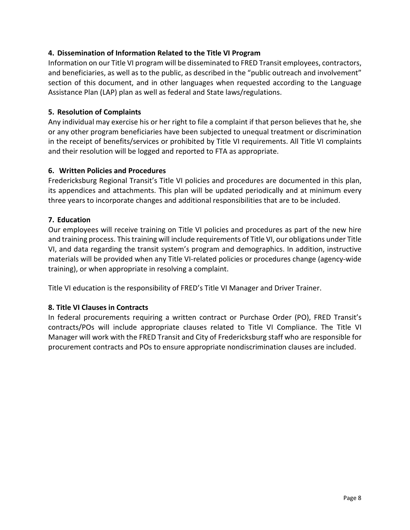#### **4. Dissemination of Information Related to the Title VI Program**

Information on our Title VI program will be disseminated to FRED Transit employees, contractors, and beneficiaries, as well as to the public, as described in the "public outreach and involvement" section of this document, and in other languages when requested according to the Language Assistance Plan (LAP) plan as well as federal and State laws/regulations.

#### **5. Resolution of Complaints**

Any individual may exercise his or her right to file a complaint if that person believes that he, she or any other program beneficiaries have been subjected to unequal treatment or discrimination in the receipt of benefits/services or prohibited by Title VI requirements. All Title VI complaints and their resolution will be logged and reported to FTA as appropriate.

#### **6. Written Policies and Procedures**

Fredericksburg Regional Transit's Title VI policies and procedures are documented in this plan, its appendices and attachments. This plan will be updated periodically and at minimum every three years to incorporate changes and additional responsibilities that are to be included.

#### **7. Education**

Our employees will receive training on Title VI policies and procedures as part of the new hire and training process. This training will include requirements of Title VI, our obligations under Title VI, and data regarding the transit system's program and demographics. In addition, instructive materials will be provided when any Title VI-related policies or procedures change (agency-wide training), or when appropriate in resolving a complaint.

Title VI education is the responsibility of FRED's Title VI Manager and Driver Trainer.

### **8. Title VI Clauses in Contracts**

In federal procurements requiring a written contract or Purchase Order (PO), FRED Transit's contracts/POs will include appropriate clauses related to Title VI Compliance. The Title VI Manager will work with the FRED Transit and City of Fredericksburg staff who are responsible for procurement contracts and POs to ensure appropriate nondiscrimination clauses are included.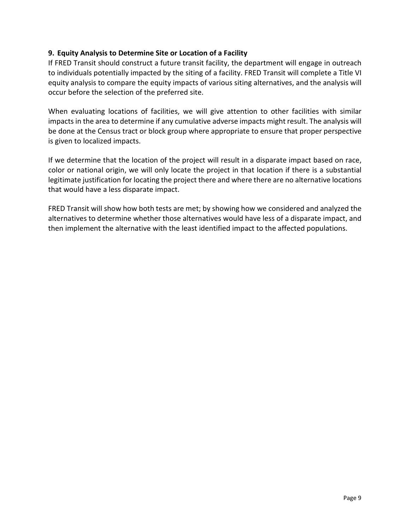#### **9. Equity Analysis to Determine Site or Location of a Facility**

If FRED Transit should construct a future transit facility, the department will engage in outreach to individuals potentially impacted by the siting of a facility. FRED Transit will complete a Title VI equity analysis to compare the equity impacts of various siting alternatives, and the analysis will occur before the selection of the preferred site.

When evaluating locations of facilities, we will give attention to other facilities with similar impacts in the area to determine if any cumulative adverse impacts might result. The analysis will be done at the Census tract or block group where appropriate to ensure that proper perspective is given to localized impacts.

If we determine that the location of the project will result in a disparate impact based on race, color or national origin, we will only locate the project in that location if there is a substantial legitimate justification for locating the project there and where there are no alternative locations that would have a less disparate impact.

FRED Transit will show how both tests are met; by showing how we considered and analyzed the alternatives to determine whether those alternatives would have less of a disparate impact, and then implement the alternative with the least identified impact to the affected populations.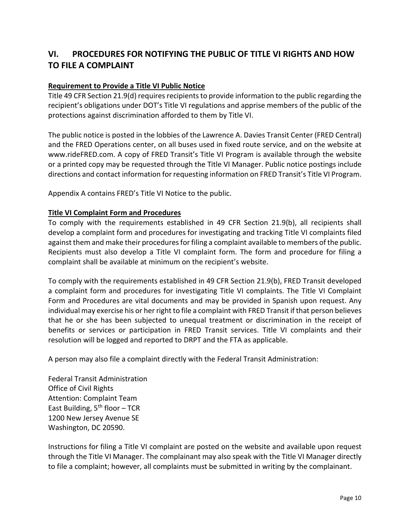# **VI. PROCEDURES FOR NOTIFYING THE PUBLIC OF TITLE VI RIGHTS AND HOW TO FILE A COMPLAINT**

#### **Requirement to Provide a Title VI Public Notice**

Title 49 CFR Section 21.9(d) requires recipients to provide information to the public regarding the recipient's obligations under DOT's Title VI regulations and apprise members of the public of the protections against discrimination afforded to them by Title VI.

The public notice is posted in the lobbies of the Lawrence A. Davies Transit Center (FRED Central) and the FRED Operations center, on all buses used in fixed route service, and on the website at www.rideFRED.com. A copy of FRED Transit's Title VI Program is available through the website or a printed copy may be requested through the Title VI Manager. Public notice postings include directions and contact information for requesting information on FRED Transit's Title VI Program.

Appendix A contains FRED's Title VI Notice to the public.

#### **Title VI Complaint Form and Procedures**

To comply with the requirements established in 49 CFR Section 21.9(b), all recipients shall develop a complaint form and procedures for investigating and tracking Title VI complaints filed against them and make their procedures for filing a complaint available to members of the public. Recipients must also develop a Title VI complaint form. The form and procedure for filing a complaint shall be available at minimum on the recipient's website.

To comply with the requirements established in 49 CFR Section 21.9(b), FRED Transit developed a complaint form and procedures for investigating Title VI complaints. The Title VI Complaint Form and Procedures are vital documents and may be provided in Spanish upon request. Any individual may exercise his or her right to file a complaint with FRED Transit if that person believes that he or she has been subjected to unequal treatment or discrimination in the receipt of benefits or services or participation in FRED Transit services. Title VI complaints and their resolution will be logged and reported to DRPT and the FTA as applicable.

A person may also file a complaint directly with the Federal Transit Administration:

Federal Transit Administration Office of Civil Rights Attention: Complaint Team East Building,  $5<sup>th</sup>$  floor – TCR 1200 New Jersey Avenue SE Washington, DC 20590.

Instructions for filing a Title VI complaint are posted on the website and available upon request through the Title VI Manager. The complainant may also speak with the Title VI Manager directly to file a complaint; however, all complaints must be submitted in writing by the complainant.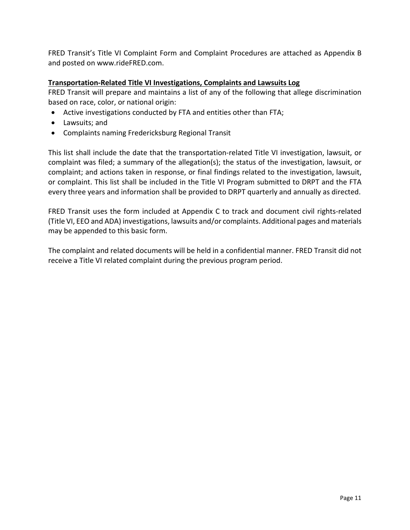FRED Transit's Title VI Complaint Form and Complaint Procedures are attached as Appendix B and posted on www.rideFRED.com.

### **Transportation-Related Title VI Investigations, Complaints and Lawsuits Log**

FRED Transit will prepare and maintains a list of any of the following that allege discrimination based on race, color, or national origin:

- Active investigations conducted by FTA and entities other than FTA;
- Lawsuits; and
- Complaints naming Fredericksburg Regional Transit

This list shall include the date that the transportation-related Title VI investigation, lawsuit, or complaint was filed; a summary of the allegation(s); the status of the investigation, lawsuit, or complaint; and actions taken in response, or final findings related to the investigation, lawsuit, or complaint. This list shall be included in the Title VI Program submitted to DRPT and the FTA every three years and information shall be provided to DRPT quarterly and annually as directed.

FRED Transit uses the form included at Appendix C to track and document civil rights-related (Title VI, EEO and ADA) investigations, lawsuits and/or complaints. Additional pages and materials may be appended to this basic form.

The complaint and related documents will be held in a confidential manner. FRED Transit did not receive a Title VI related complaint during the previous program period.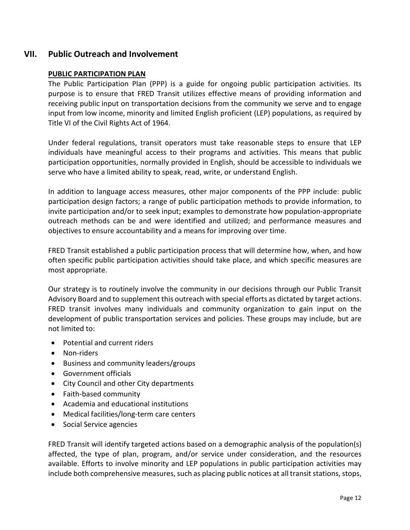# **VII. Public Outreach and Involvement**

#### **PUBLIC PARTICIPATION PLAN**

The Public Participation Plan (PPP) is a guide for ongoing public participation activities. Its purpose is to ensure that FRED Transit utilizes effective means of providing information and receiving public input on transportation decisions from the community we serve and to engage input from low income, minority and limited English proficient (LEP) populations, as required by Title VI of the Civil Rights Act of 1964.

Under federal regulations, transit operators must take reasonable steps to ensure that LEP individuals have meaningful access to their programs and activities. This means that public participation opportunities, normally provided in English, should be accessible to individuals we serve who have a limited ability to speak, read, write, or understand English.

In addition to language access measures, other major components of the PPP include: public participation design factors; a range of public participation methods to provide information, to invite participation and/or to seek input; examples to demonstrate how population-appropriate outreach methods can be and were identified and utilized; and performance measures and objectives to ensure accountability and a means for improving over time.

FRED Transit established a public participation process that will determine how, when, and how often specific public participation activities should take place, and which specific measures are most appropriate.

Our strategy is to routinely involve the community in our decisions through our Public Transit Advisory Board and to supplement this outreach with special efforts as dictated by target actions. FRED transit involves many individuals and community organization to gain input on the development of public transportation services and policies. These groups may include, but are not limited to:

- Potential and current riders
- Non-riders
- Business and community leaders/groups
- Government officials
- City Council and other City departments
- Faith-based community
- Academia and educational institutions
- Medical facilities/long-term care centers
- Social Service agencies

FRED Transit will identify targeted actions based on a demographic analysis of the population(s) affected, the type of plan, program, and/or service under consideration, and the resources available. Efforts to involve minority and LEP populations in public participation activities may include both comprehensive measures, such as placing public notices at all transit stations, stops,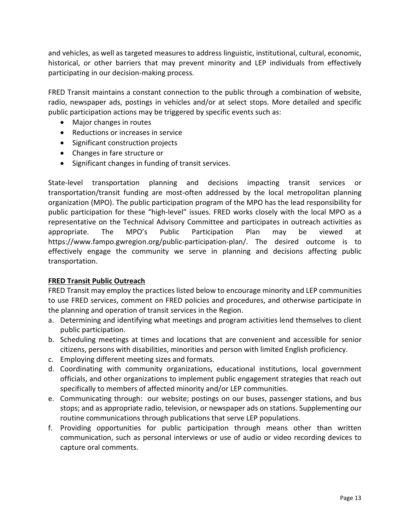and vehicles, as well as targeted measures to address linguistic, institutional, cultural, economic, historical, or other barriers that may prevent minority and LEP individuals from effectively participating in our decision-making process.

FRED Transit maintains a constant connection to the public through a combination of website, radio, newspaper ads, postings in vehicles and/or at select stops. More detailed and specific public participation actions may be triggered by specific events such as:

- Major changes in routes
- Reductions or increases in service
- Significant construction projects
- Changes in fare structure or
- Significant changes in funding of transit services.

State-level transportation planning and decisions impacting transit services or transportation/transit funding are most-often addressed by the local metropolitan planning organization (MPO). The public participation program of the MPO has the lead responsibility for public participation for these "high-level" issues. FRED works closely with the local MPO as a representative on the Technical Advisory Committee and participates in outreach activities as appropriate. The MPO's Public Participation Plan may be viewed at https://www.fampo.gwregion.org/public-participation-plan/. The desired outcome is to effectively engage the community we serve in planning and decisions affecting public transportation.

### **FRED Transit Public Outreach**

FRED Transit may employ the practices listed below to encourage minority and LEP communities to use FRED services, comment on FRED policies and procedures, and otherwise participate in the planning and operation of transit services in the Region.

- a. Determining and identifying what meetings and program activities lend themselves to client public participation.
- b. Scheduling meetings at times and locations that are convenient and accessible for senior citizens, persons with disabilities, minorities and person with limited English proficiency.
- c. Employing different meeting sizes and formats.
- d. Coordinating with community organizations, educational institutions, local government officials, and other organizations to implement public engagement strategies that reach out specifically to members of affected minority and/or LEP communities.
- e. Communicating through: our website; postings on our buses, passenger stations, and bus stops; and as appropriate radio, television, or newspaper ads on stations. Supplementing our routine communications through publications that serve LEP populations.
- f. Providing opportunities for public participation through means other than written communication, such as personal interviews or use of audio or video recording devices to capture oral comments.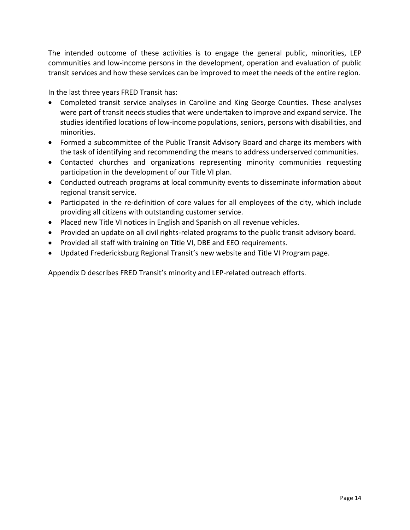The intended outcome of these activities is to engage the general public, minorities, LEP communities and low-income persons in the development, operation and evaluation of public transit services and how these services can be improved to meet the needs of the entire region.

In the last three years FRED Transit has:

- Completed transit service analyses in Caroline and King George Counties. These analyses were part of transit needs studies that were undertaken to improve and expand service. The studies identified locations of low-income populations, seniors, persons with disabilities, and minorities.
- Formed a subcommittee of the Public Transit Advisory Board and charge its members with the task of identifying and recommending the means to address underserved communities.
- Contacted churches and organizations representing minority communities requesting participation in the development of our Title VI plan.
- Conducted outreach programs at local community events to disseminate information about regional transit service.
- Participated in the re-definition of core values for all employees of the city, which include providing all citizens with outstanding customer service.
- Placed new Title VI notices in English and Spanish on all revenue vehicles.
- Provided an update on all civil rights-related programs to the public transit advisory board.
- Provided all staff with training on Title VI, DBE and EEO requirements.
- Updated Fredericksburg Regional Transit's new website and Title VI Program page.

Appendix D describes FRED Transit's minority and LEP-related outreach efforts.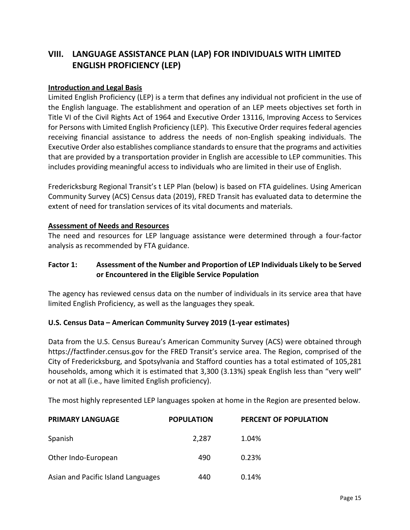# **VIII. LANGUAGE ASSISTANCE PLAN (LAP) FOR INDIVIDUALS WITH LIMITED ENGLISH PROFICIENCY (LEP)**

#### **Introduction and Legal Basis**

Limited English Proficiency (LEP) is a term that defines any individual not proficient in the use of the English language. The establishment and operation of an LEP meets objectives set forth in Title VI of the Civil Rights Act of 1964 and Executive Order 13116, Improving Access to Services for Persons with Limited English Proficiency (LEP). This Executive Order requires federal agencies receiving financial assistance to address the needs of non-English speaking individuals. The Executive Order also establishes compliance standards to ensure that the programs and activities that are provided by a transportation provider in English are accessible to LEP communities. This includes providing meaningful access to individuals who are limited in their use of English.

Fredericksburg Regional Transit's t LEP Plan (below) is based on FTA guidelines. Using American Community Survey (ACS) Census data (2019), FRED Transit has evaluated data to determine the extent of need for translation services of its vital documents and materials.

#### **Assessment of Needs and Resources**

The need and resources for LEP language assistance were determined through a four-factor analysis as recommended by FTA guidance.

#### **Factor 1: Assessment of the Number and Proportion of LEP Individuals Likely to be Served or Encountered in the Eligible Service Population**

The agency has reviewed census data on the number of individuals in its service area that have limited English Proficiency, as well as the languages they speak.

#### **U.S. Census Data – American Community Survey 2019 (1-year estimates)**

Data from the U.S. Census Bureau's American Community Survey (ACS) were obtained through https://factfinder.census.gov for the FRED Transit's service area. The Region, comprised of the City of Fredericksburg, and Spotsylvania and Stafford counties has a total estimated of 105,281 households, among which it is estimated that 3,300 (3.13%) speak English less than "very well" or not at all (i.e., have limited English proficiency).

The most highly represented LEP languages spoken at home in the Region are presented below.

| <b>PRIMARY LANGUAGE</b>            | <b>POPULATION</b> | PERCENT OF POPULATION |
|------------------------------------|-------------------|-----------------------|
| Spanish                            | 2.287             | 1.04%                 |
| Other Indo-European                | 490               | 0.23%                 |
| Asian and Pacific Island Languages | 440               | 0.14%                 |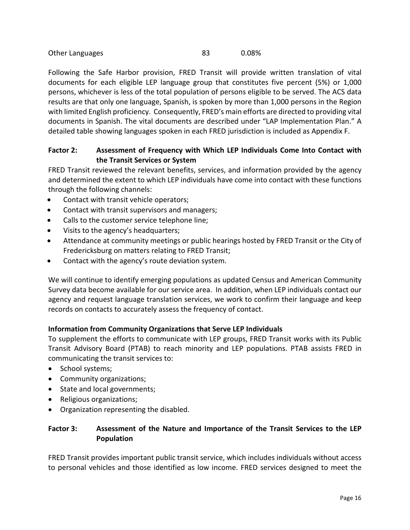| Other Languages |  | 0.08% |
|-----------------|--|-------|
|-----------------|--|-------|

Following the Safe Harbor provision, FRED Transit will provide written translation of vital documents for each eligible LEP language group that constitutes five percent (5%) or 1,000 persons, whichever is less of the total population of persons eligible to be served. The ACS data results are that only one language, Spanish, is spoken by more than 1,000 persons in the Region with limited English proficiency. Consequently, FRED's main efforts are directed to providing vital documents in Spanish. The vital documents are described under "LAP Implementation Plan." A detailed table showing languages spoken in each FRED jurisdiction is included as Appendix F.

### **Factor 2: Assessment of Frequency with Which LEP Individuals Come Into Contact with the Transit Services or System**

FRED Transit reviewed the relevant benefits, services, and information provided by the agency and determined the extent to which LEP individuals have come into contact with these functions through the following channels:

- Contact with transit vehicle operators;
- Contact with transit supervisors and managers;
- Calls to the customer service telephone line;
- Visits to the agency's headquarters;
- Attendance at community meetings or public hearings hosted by FRED Transit or the City of Fredericksburg on matters relating to FRED Transit;
- Contact with the agency's route deviation system.

We will continue to identify emerging populations as updated Census and American Community Survey data become available for our service area. In addition, when LEP individuals contact our agency and request language translation services, we work to confirm their language and keep records on contacts to accurately assess the frequency of contact.

#### **Information from Community Organizations that Serve LEP Individuals**

To supplement the efforts to communicate with LEP groups, FRED Transit works with its Public Transit Advisory Board (PTAB) to reach minority and LEP populations. PTAB assists FRED in communicating the transit services to:

- School systems;
- Community organizations;
- State and local governments;
- Religious organizations;
- Organization representing the disabled.

### **Factor 3: Assessment of the Nature and Importance of the Transit Services to the LEP Population**

FRED Transit provides important public transit service, which includes individuals without access to personal vehicles and those identified as low income. FRED services designed to meet the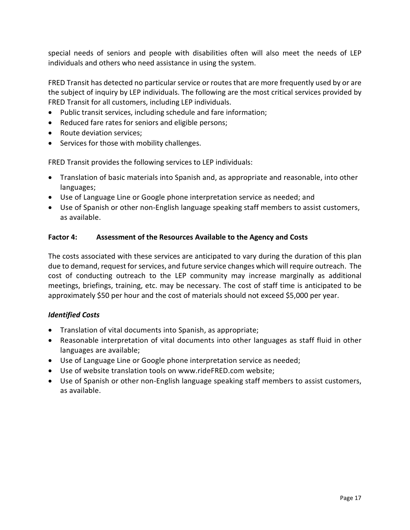special needs of seniors and people with disabilities often will also meet the needs of LEP individuals and others who need assistance in using the system.

FRED Transit has detected no particular service or routes that are more frequently used by or are the subject of inquiry by LEP individuals. The following are the most critical services provided by FRED Transit for all customers, including LEP individuals.

- Public transit services, including schedule and fare information;
- Reduced fare rates for seniors and eligible persons;
- Route deviation services;
- Services for those with mobility challenges.

FRED Transit provides the following services to LEP individuals:

- Translation of basic materials into Spanish and, as appropriate and reasonable, into other languages;
- Use of Language Line or Google phone interpretation service as needed; and
- Use of Spanish or other non-English language speaking staff members to assist customers, as available.

#### **Factor 4: Assessment of the Resources Available to the Agency and Costs**

The costs associated with these services are anticipated to vary during the duration of this plan due to demand, request for services, and future service changes which will require outreach. The cost of conducting outreach to the LEP community may increase marginally as additional meetings, briefings, training, etc. may be necessary. The cost of staff time is anticipated to be approximately \$50 per hour and the cost of materials should not exceed \$5,000 per year.

#### *Identified Costs*

- Translation of vital documents into Spanish, as appropriate;
- Reasonable interpretation of vital documents into other languages as staff fluid in other languages are available;
- Use of Language Line or Google phone interpretation service as needed;
- Use of website translation tools on www.rideFRED.com website;
- Use of Spanish or other non-English language speaking staff members to assist customers, as available.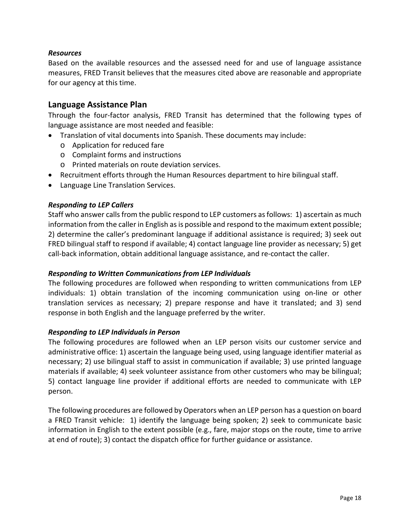#### *Resources*

Based on the available resources and the assessed need for and use of language assistance measures, FRED Transit believes that the measures cited above are reasonable and appropriate for our agency at this time.

#### **Language Assistance Plan**

Through the four-factor analysis, FRED Transit has determined that the following types of language assistance are most needed and feasible:

- Translation of vital documents into Spanish. These documents may include:
	- o Application for reduced fare
	- o Complaint forms and instructions
	- o Printed materials on route deviation services.
- Recruitment efforts through the Human Resources department to hire bilingual staff.
- Language Line Translation Services.

#### *Responding to LEP Callers*

Staff who answer calls from the public respond to LEP customers as follows: 1) ascertain as much information from the caller in English as is possible and respond to the maximum extent possible; 2) determine the caller's predominant language if additional assistance is required; 3) seek out FRED bilingual staff to respond if available; 4) contact language line provider as necessary; 5) get call-back information, obtain additional language assistance, and re-contact the caller.

#### *Responding to Written Communications from LEP Individuals*

The following procedures are followed when responding to written communications from LEP individuals: 1) obtain translation of the incoming communication using on-line or other translation services as necessary; 2) prepare response and have it translated; and 3) send response in both English and the language preferred by the writer.

#### *Responding to LEP Individuals in Person*

The following procedures are followed when an LEP person visits our customer service and administrative office: 1) ascertain the language being used, using language identifier material as necessary; 2) use bilingual staff to assist in communication if available; 3) use printed language materials if available; 4) seek volunteer assistance from other customers who may be bilingual; 5) contact language line provider if additional efforts are needed to communicate with LEP person.

The following procedures are followed by Operators when an LEP person has a question on board a FRED Transit vehicle: 1) identify the language being spoken; 2) seek to communicate basic information in English to the extent possible (e.g., fare, major stops on the route, time to arrive at end of route); 3) contact the dispatch office for further guidance or assistance.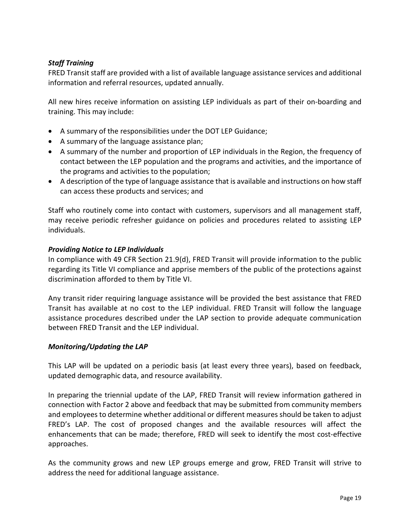#### *Staff Training*

FRED Transit staff are provided with a list of available language assistance services and additional information and referral resources, updated annually.

All new hires receive information on assisting LEP individuals as part of their on-boarding and training. This may include:

- A summary of the responsibilities under the DOT LEP Guidance;
- A summary of the language assistance plan;
- A summary of the number and proportion of LEP individuals in the Region, the frequency of contact between the LEP population and the programs and activities, and the importance of the programs and activities to the population;
- A description of the type of language assistance that is available and instructions on how staff can access these products and services; and

Staff who routinely come into contact with customers, supervisors and all management staff, may receive periodic refresher guidance on policies and procedures related to assisting LEP individuals.

#### *Providing Notice to LEP Individuals*

In compliance with 49 CFR Section 21.9(d), FRED Transit will provide information to the public regarding its Title VI compliance and apprise members of the public of the protections against discrimination afforded to them by Title VI.

Any transit rider requiring language assistance will be provided the best assistance that FRED Transit has available at no cost to the LEP individual. FRED Transit will follow the language assistance procedures described under the LAP section to provide adequate communication between FRED Transit and the LEP individual.

#### *Monitoring/Updating the LAP*

This LAP will be updated on a periodic basis (at least every three years), based on feedback, updated demographic data, and resource availability.

In preparing the triennial update of the LAP, FRED Transit will review information gathered in connection with Factor 2 above and feedback that may be submitted from community members and employees to determine whether additional or different measures should be taken to adjust FRED's LAP. The cost of proposed changes and the available resources will affect the enhancements that can be made; therefore, FRED will seek to identify the most cost-effective approaches.

As the community grows and new LEP groups emerge and grow, FRED Transit will strive to address the need for additional language assistance.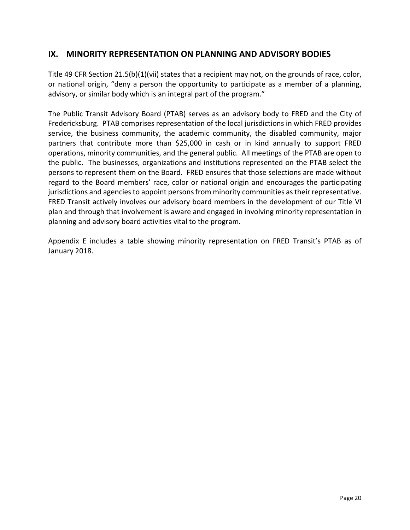# **IX. MINORITY REPRESENTATION ON PLANNING AND ADVISORY BODIES**

Title 49 CFR Section 21.5(b)(1)(vii) states that a recipient may not, on the grounds of race, color, or national origin, "deny a person the opportunity to participate as a member of a planning, advisory, or similar body which is an integral part of the program."

The Public Transit Advisory Board (PTAB) serves as an advisory body to FRED and the City of Fredericksburg. PTAB comprises representation of the local jurisdictions in which FRED provides service, the business community, the academic community, the disabled community, major partners that contribute more than \$25,000 in cash or in kind annually to support FRED operations, minority communities, and the general public. All meetings of the PTAB are open to the public. The businesses, organizations and institutions represented on the PTAB select the persons to represent them on the Board. FRED ensures that those selections are made without regard to the Board members' race, color or national origin and encourages the participating jurisdictions and agencies to appoint persons from minority communities as their representative. FRED Transit actively involves our advisory board members in the development of our Title VI plan and through that involvement is aware and engaged in involving minority representation in planning and advisory board activities vital to the program.

Appendix E includes a table showing minority representation on FRED Transit's PTAB as of January 2018.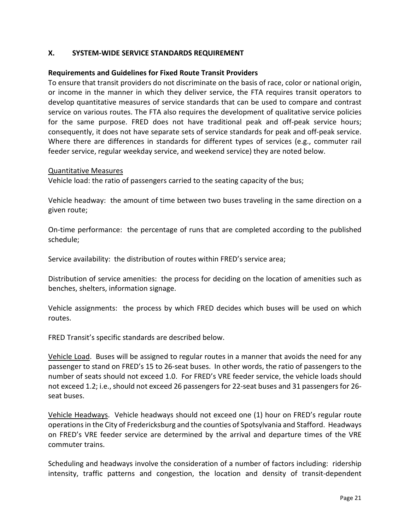#### **X. SYSTEM-WIDE SERVICE STANDARDS REQUIREMENT**

#### **Requirements and Guidelines for Fixed Route Transit Providers**

To ensure that transit providers do not discriminate on the basis of race, color or national origin, or income in the manner in which they deliver service, the FTA requires transit operators to develop quantitative measures of service standards that can be used to compare and contrast service on various routes. The FTA also requires the development of qualitative service policies for the same purpose. FRED does not have traditional peak and off-peak service hours; consequently, it does not have separate sets of service standards for peak and off-peak service. Where there are differences in standards for different types of services (e.g., commuter rail feeder service, regular weekday service, and weekend service) they are noted below.

#### Quantitative Measures

Vehicle load: the ratio of passengers carried to the seating capacity of the bus;

Vehicle headway: the amount of time between two buses traveling in the same direction on a given route;

On-time performance: the percentage of runs that are completed according to the published schedule;

Service availability: the distribution of routes within FRED's service area;

Distribution of service amenities: the process for deciding on the location of amenities such as benches, shelters, information signage.

Vehicle assignments: the process by which FRED decides which buses will be used on which routes.

FRED Transit's specific standards are described below.

Vehicle Load. Buses will be assigned to regular routes in a manner that avoids the need for any passenger to stand on FRED's 15 to 26-seat buses. In other words, the ratio of passengers to the number of seats should not exceed 1.0. For FRED's VRE feeder service, the vehicle loads should not exceed 1.2; i.e., should not exceed 26 passengers for 22-seat buses and 31 passengers for 26 seat buses.

Vehicle Headways. Vehicle headways should not exceed one (1) hour on FRED's regular route operationsin the City of Fredericksburg and the counties of Spotsylvania and Stafford. Headways on FRED's VRE feeder service are determined by the arrival and departure times of the VRE commuter trains.

Scheduling and headways involve the consideration of a number of factors including: ridership intensity, traffic patterns and congestion, the location and density of transit-dependent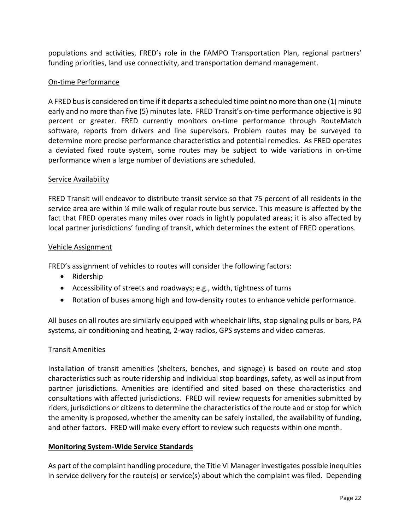populations and activities, FRED's role in the FAMPO Transportation Plan, regional partners' funding priorities, land use connectivity, and transportation demand management.

#### On-time Performance

A FRED bus is considered on time if it departs a scheduled time point no more than one (1) minute early and no more than five (5) minutes late. FRED Transit's on-time performance objective is 90 percent or greater. FRED currently monitors on-time performance through RouteMatch software, reports from drivers and line supervisors. Problem routes may be surveyed to determine more precise performance characteristics and potential remedies. As FRED operates a deviated fixed route system, some routes may be subject to wide variations in on-time performance when a large number of deviations are scheduled.

#### Service Availability

FRED Transit will endeavor to distribute transit service so that 75 percent of all residents in the service area are within ¼ mile walk of regular route bus service. This measure is affected by the fact that FRED operates many miles over roads in lightly populated areas; it is also affected by local partner jurisdictions' funding of transit, which determines the extent of FRED operations.

#### Vehicle Assignment

FRED's assignment of vehicles to routes will consider the following factors:

- Ridership
- Accessibility of streets and roadways; e.g., width, tightness of turns
- Rotation of buses among high and low-density routes to enhance vehicle performance.

All buses on all routes are similarly equipped with wheelchair lifts, stop signaling pulls or bars, PA systems, air conditioning and heating, 2-way radios, GPS systems and video cameras.

#### Transit Amenities

Installation of transit amenities (shelters, benches, and signage) is based on route and stop characteristics such as route ridership and individual stop boardings, safety, as well as input from partner jurisdictions. Amenities are identified and sited based on these characteristics and consultations with affected jurisdictions. FRED will review requests for amenities submitted by riders, jurisdictions or citizens to determine the characteristics of the route and or stop for which the amenity is proposed, whether the amenity can be safely installed, the availability of funding, and other factors. FRED will make every effort to review such requests within one month.

#### **Monitoring System-Wide Service Standards**

As part of the complaint handling procedure, the Title VI Manager investigates possible inequities in service delivery for the route(s) or service(s) about which the complaint was filed. Depending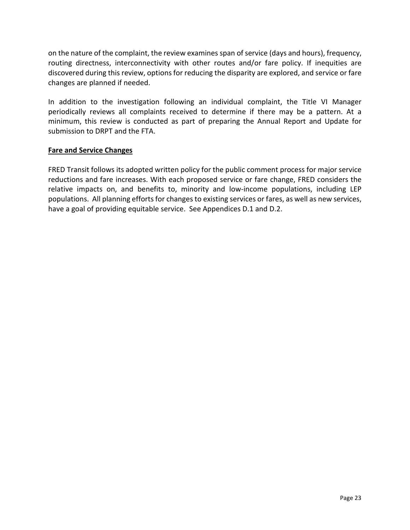on the nature of the complaint, the review examines span of service (days and hours), frequency, routing directness, interconnectivity with other routes and/or fare policy. If inequities are discovered during this review, options for reducing the disparity are explored, and service or fare changes are planned if needed.

In addition to the investigation following an individual complaint, the Title VI Manager periodically reviews all complaints received to determine if there may be a pattern. At a minimum, this review is conducted as part of preparing the Annual Report and Update for submission to DRPT and the FTA.

#### **Fare and Service Changes**

FRED Transit follows its adopted written policy for the public comment process for major service reductions and fare increases. With each proposed service or fare change, FRED considers the relative impacts on, and benefits to, minority and low-income populations, including LEP populations. All planning efforts for changes to existing services or fares, as well as new services, have a goal of providing equitable service. See Appendices D.1 and D.2.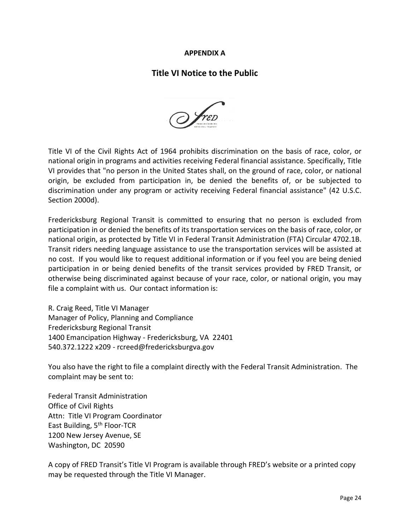#### **APPENDIX A**

# **Title VI Notice to the Public**



Title VI of the Civil Rights Act of 1964 prohibits discrimination on the basis of race, color, or national origin in programs and activities receiving Federal financial assistance. Specifically, Title VI provides that "no person in the United States shall, on the ground of race, color, or national origin, be excluded from participation in, be denied the benefits of, or be subjected to discrimination under any program or activity receiving Federal financial assistance" (42 U.S.C. Section 2000d).

Fredericksburg Regional Transit is committed to ensuring that no person is excluded from participation in or denied the benefits of its transportation services on the basis of race, color, or national origin, as protected by Title VI in Federal Transit Administration (FTA) Circular 4702.1B. Transit riders needing language assistance to use the transportation services will be assisted at no cost. If you would like to request additional information or if you feel you are being denied participation in or being denied benefits of the transit services provided by FRED Transit, or otherwise being discriminated against because of your race, color, or national origin, you may file a complaint with us. Our contact information is:

R. Craig Reed, Title VI Manager Manager of Policy, Planning and Compliance Fredericksburg Regional Transit 1400 Emancipation Highway - Fredericksburg, VA 22401 540.372.1222 x209 - rcreed@fredericksburgva.gov

You also have the right to file a complaint directly with the Federal Transit Administration. The complaint may be sent to:

Federal Transit Administration Office of Civil Rights Attn: Title VI Program Coordinator East Building, 5th Floor-TCR 1200 New Jersey Avenue, SE Washington, DC 20590

A copy of FRED Transit's Title VI Program is available through FRED's website or a printed copy may be requested through the Title VI Manager.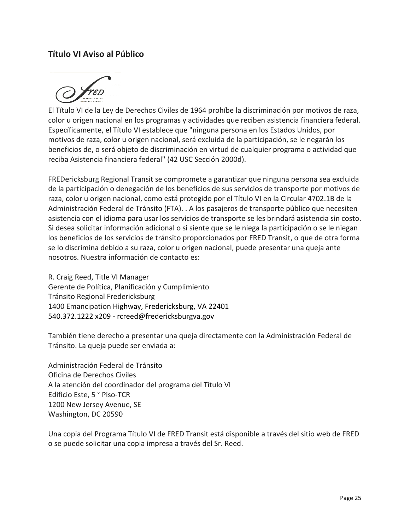# **Título VI Aviso al Público**



El Título VI de la Ley de Derechos Civiles de 1964 prohíbe la discriminación por motivos de raza, color u origen nacional en los programas y actividades que reciben asistencia financiera federal. Específicamente, el Título VI establece que "ninguna persona en los Estados Unidos, por motivos de raza, color u origen nacional, será excluida de la participación, se le negarán los beneficios de, o será objeto de discriminación en virtud de cualquier programa o actividad que reciba Asistencia financiera federal" (42 USC Sección 2000d).

FREDericksburg Regional Transit se compromete a garantizar que ninguna persona sea excluida de la participación o denegación de los beneficios de sus servicios de transporte por motivos de raza, color u origen nacional, como está protegido por el Título VI en la Circular 4702.1B de la Administración Federal de Tránsito (FTA). . A los pasajeros de transporte público que necesiten asistencia con el idioma para usar los servicios de transporte se les brindará asistencia sin costo. Si desea solicitar información adicional o si siente que se le niega la participación o se le niegan los beneficios de los servicios de tránsito proporcionados por FRED Transit, o que de otra forma se lo discrimina debido a su raza, color u origen nacional, puede presentar una queja ante nosotros. Nuestra información de contacto es:

R. Craig Reed, Title VI Manager Gerente de Política, Planificación y Cumplimiento Tránsito Regional Fredericksburg 1400 Emancipation Highway, Fredericksburg, VA 22401 540.372.1222 x209 - rcreed@fredericksburgva.gov

También tiene derecho a presentar una queja directamente con la Administración Federal de Tránsito. La queja puede ser enviada a:

Administración Federal de Tránsito Oficina de Derechos Civiles A la atención del coordinador del programa del Título VI Edificio Este, 5 ° Piso-TCR 1200 New Jersey Avenue, SE Washington, DC 20590

Una copia del Programa Título VI de FRED Transit está disponible a través del sitio web de FRED o se puede solicitar una copia impresa a través del Sr. Reed.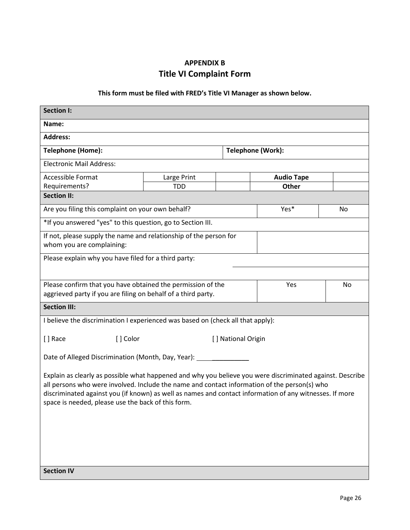# **APPENDIX B Title VI Complaint Form**

# **This form must be filed with FRED's Title VI Manager as shown below.**

| <b>Section I:</b>                                                                                                                                             |             |                    |                   |    |  |  |
|---------------------------------------------------------------------------------------------------------------------------------------------------------------|-------------|--------------------|-------------------|----|--|--|
| Name:                                                                                                                                                         |             |                    |                   |    |  |  |
| <b>Address:</b>                                                                                                                                               |             |                    |                   |    |  |  |
| <b>Telephone (Home):</b>                                                                                                                                      |             |                    | Telephone (Work): |    |  |  |
| <b>Electronic Mail Address:</b>                                                                                                                               |             |                    |                   |    |  |  |
| <b>Accessible Format</b>                                                                                                                                      | Large Print |                    | <b>Audio Tape</b> |    |  |  |
| Requirements?                                                                                                                                                 | <b>TDD</b>  |                    | Other             |    |  |  |
| <b>Section II:</b>                                                                                                                                            |             |                    |                   |    |  |  |
| Are you filing this complaint on your own behalf?                                                                                                             |             |                    | Yes*              | No |  |  |
| *If you answered "yes" to this question, go to Section III.                                                                                                   |             |                    |                   |    |  |  |
| If not, please supply the name and relationship of the person for                                                                                             |             |                    |                   |    |  |  |
| whom you are complaining:                                                                                                                                     |             |                    |                   |    |  |  |
| Please explain why you have filed for a third party:                                                                                                          |             |                    |                   |    |  |  |
|                                                                                                                                                               |             |                    |                   |    |  |  |
| Please confirm that you have obtained the permission of the                                                                                                   |             |                    | Yes               | No |  |  |
| aggrieved party if you are filing on behalf of a third party.                                                                                                 |             |                    |                   |    |  |  |
| <b>Section III:</b>                                                                                                                                           |             |                    |                   |    |  |  |
| I believe the discrimination I experienced was based on (check all that apply):                                                                               |             |                    |                   |    |  |  |
|                                                                                                                                                               |             |                    |                   |    |  |  |
| [] Race<br>[] Color                                                                                                                                           |             | [] National Origin |                   |    |  |  |
| Date of Alleged Discrimination (Month, Day, Year): _____                                                                                                      |             |                    |                   |    |  |  |
|                                                                                                                                                               |             |                    |                   |    |  |  |
| Explain as clearly as possible what happened and why you believe you were discriminated against. Describe                                                     |             |                    |                   |    |  |  |
| all persons who were involved. Include the name and contact information of the person(s) who                                                                  |             |                    |                   |    |  |  |
| discriminated against you (if known) as well as names and contact information of any witnesses. If more<br>space is needed, please use the back of this form. |             |                    |                   |    |  |  |
|                                                                                                                                                               |             |                    |                   |    |  |  |
|                                                                                                                                                               |             |                    |                   |    |  |  |
|                                                                                                                                                               |             |                    |                   |    |  |  |
|                                                                                                                                                               |             |                    |                   |    |  |  |
|                                                                                                                                                               |             |                    |                   |    |  |  |
| <b>Section IV</b>                                                                                                                                             |             |                    |                   |    |  |  |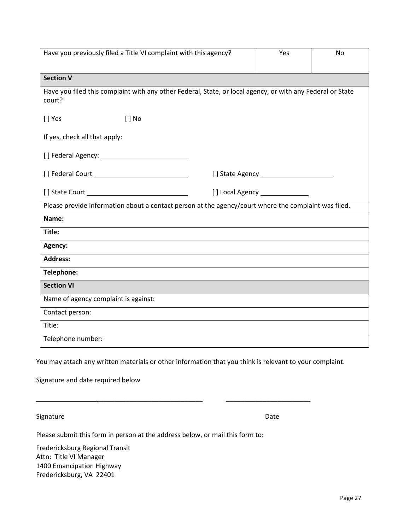| Have you previously filed a Title VI complaint with this agency?                                                                             | Yes  | No |
|----------------------------------------------------------------------------------------------------------------------------------------------|------|----|
| <b>Section V</b>                                                                                                                             |      |    |
| Have you filed this complaint with any other Federal, State, or local agency, or with any Federal or State<br>court?                         |      |    |
| [] Yes<br>$[ ]$ No                                                                                                                           |      |    |
| If yes, check all that apply:                                                                                                                |      |    |
|                                                                                                                                              |      |    |
|                                                                                                                                              |      |    |
|                                                                                                                                              |      |    |
| Please provide information about a contact person at the agency/court where the complaint was filed.                                         |      |    |
| Name:                                                                                                                                        |      |    |
| Title:                                                                                                                                       |      |    |
| Agency:                                                                                                                                      |      |    |
| <b>Address:</b>                                                                                                                              |      |    |
| Telephone:                                                                                                                                   |      |    |
| <b>Section VI</b>                                                                                                                            |      |    |
| Name of agency complaint is against:                                                                                                         |      |    |
| Contact person:                                                                                                                              |      |    |
| Title:                                                                                                                                       |      |    |
| Telephone number:                                                                                                                            |      |    |
| You may attach any written materials or other information that you think is relevant to your complaint.<br>Signature and date required below |      |    |
| Signature                                                                                                                                    | Date |    |
| Please submit this form in person at the address below, or mail this form to:                                                                |      |    |

Fredericksburg Regional Transit Attn: Title VI Manager 1400 Emancipation Highway Fredericksburg, VA 22401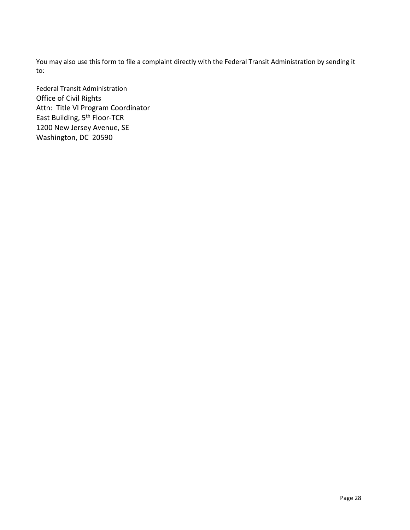You may also use this form to file a complaint directly with the Federal Transit Administration by sending it to:

Federal Transit Administration Office of Civil Rights Attn: Title VI Program Coordinator East Building, 5<sup>th</sup> Floor-TCR 1200 New Jersey Avenue, SE Washington, DC 20590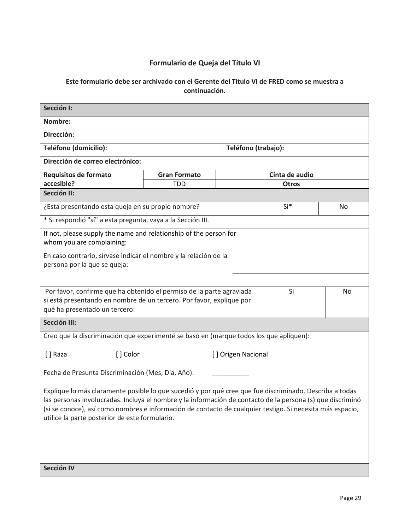# **Formulario de Queja del Título VI**

#### **Este formulario debe ser archivado con el Gerente del Título VI de FRED como se muestra a continuación.**

| Sección I:                                                                                                                                                                                                                                                                                                                                                                           |            |                     |                |    |
|--------------------------------------------------------------------------------------------------------------------------------------------------------------------------------------------------------------------------------------------------------------------------------------------------------------------------------------------------------------------------------------|------------|---------------------|----------------|----|
| Nombre:                                                                                                                                                                                                                                                                                                                                                                              |            |                     |                |    |
| Dirección:                                                                                                                                                                                                                                                                                                                                                                           |            |                     |                |    |
| Teléfono (domicilio):                                                                                                                                                                                                                                                                                                                                                                |            | Teléfono (trabajo): |                |    |
| Dirección de correo electrónico:                                                                                                                                                                                                                                                                                                                                                     |            |                     |                |    |
| Requisitos de formato<br><b>Gran Formato</b>                                                                                                                                                                                                                                                                                                                                         |            |                     | Cinta de audio |    |
| accesible?<br>Sección II:                                                                                                                                                                                                                                                                                                                                                            | <b>TDD</b> |                     | <b>Otros</b>   |    |
|                                                                                                                                                                                                                                                                                                                                                                                      |            |                     |                |    |
| ¿Está presentando esta queja en su propio nombre?                                                                                                                                                                                                                                                                                                                                    |            |                     | Si*            | No |
| * Si respondió "sí" a esta pregunta, vaya a la Sección III.                                                                                                                                                                                                                                                                                                                          |            |                     |                |    |
| If not, please supply the name and relationship of the person for<br>whom you are complaining:                                                                                                                                                                                                                                                                                       |            |                     |                |    |
| En caso contrario, sírvase indicar el nombre y la relación de la<br>persona por la que se queja:                                                                                                                                                                                                                                                                                     |            |                     |                |    |
| Por favor, confirme que ha obtenido el permiso de la parte agraviada<br>si está presentando en nombre de un tercero. Por favor, explique por<br>qué ha presentado un tercero:                                                                                                                                                                                                        |            |                     | Si             | No |
| Sección III:                                                                                                                                                                                                                                                                                                                                                                         |            |                     |                |    |
| Creo que la discriminación que experimenté se basó en (marque todos los que apliquen):                                                                                                                                                                                                                                                                                               |            |                     |                |    |
| [] Color<br>[ ] Raza                                                                                                                                                                                                                                                                                                                                                                 |            | [] Origen Nacional  |                |    |
| Fecha de Presunta Discriminación (Mes, Día, Año):                                                                                                                                                                                                                                                                                                                                    |            |                     |                |    |
| Explique lo más claramente posible lo que sucedió y por qué cree que fue discriminado. Describa a todas<br>las personas involucradas. Incluya el nombre y la información de contacto de la persona (s) que discriminó<br>(si se conoce), así como nombres e información de contacto de cualquier testigo. Si necesita más espacio,<br>utilice la parte posterior de este formulario. |            |                     |                |    |
| Sección IV                                                                                                                                                                                                                                                                                                                                                                           |            |                     |                |    |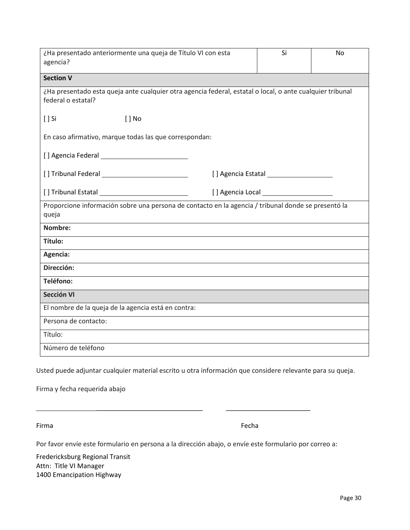| ¿Ha presentado anteriormente una queja de Título VI con esta<br>agencia?                                                        | Si | No |
|---------------------------------------------------------------------------------------------------------------------------------|----|----|
| <b>Section V</b>                                                                                                                |    |    |
| ¿Ha presentado esta queja ante cualquier otra agencia federal, estatal o local, o ante cualquier tribunal<br>federal o estatal? |    |    |
| $[ ]$ No<br>$[]$ Si                                                                                                             |    |    |
| En caso afirmativo, marque todas las que correspondan:                                                                          |    |    |
|                                                                                                                                 |    |    |
|                                                                                                                                 |    |    |
|                                                                                                                                 |    |    |
| Proporcione información sobre una persona de contacto en la agencia / tribunal donde se presentó la<br>queja                    |    |    |
| Nombre:                                                                                                                         |    |    |
| Título:                                                                                                                         |    |    |
| Agencia:                                                                                                                        |    |    |
| Dirección:                                                                                                                      |    |    |
| Teléfono:                                                                                                                       |    |    |
| Sección VI                                                                                                                      |    |    |
| El nombre de la queja de la agencia está en contra:                                                                             |    |    |
| Persona de contacto:                                                                                                            |    |    |
|                                                                                                                                 |    |    |
| Título:                                                                                                                         |    |    |

Firma y fecha requerida abajo

Firma **Firma** Fecha **Fecha** Fecha **Fecha** Fecha Fecha Fecha Fecha Fecha Fecha Fecha Fecha Fecha Fecha Fecha Fecha

Por favor envíe este formulario en persona a la dirección abajo, o envíe este formulario por correo a:

\_\_\_\_\_\_\_\_\_\_\_\_\_\_\_\_\_\_\_\_\_\_\_\_\_\_\_\_\_ \_\_\_\_\_\_\_\_\_\_\_\_\_\_\_\_\_\_\_\_\_\_\_

Fredericksburg Regional Transit Attn: Title VI Manager 1400 Emancipation Highway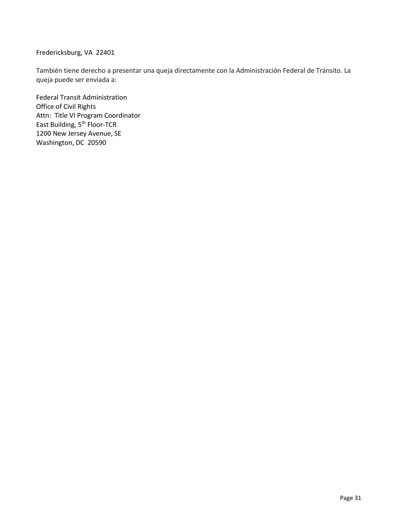#### Fredericksburg, VA 22401

También tiene derecho a presentar una queja directamente con la Administración Federal de Tránsito. La queja puede ser enviada a:

Federal Transit Administration Office of Civil Rights Attn: Title VI Program Coordinator East Building, 5<sup>th</sup> Floor-TCR 1200 New Jersey Avenue, SE Washington, DC 20590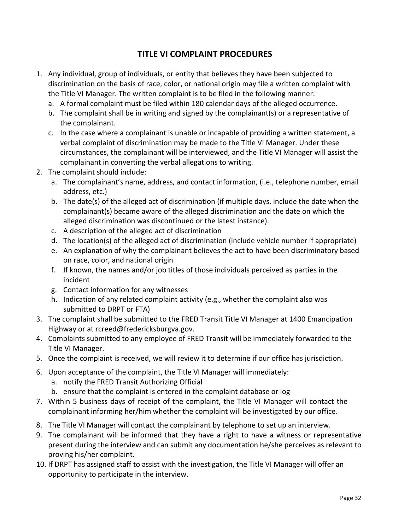# **TITLE VI COMPLAINT PROCEDURES**

- 1. Any individual, group of individuals, or entity that believes they have been subjected to discrimination on the basis of race, color, or national origin may file a written complaint with the Title VI Manager. The written complaint is to be filed in the following manner:
	- a. A formal complaint must be filed within 180 calendar days of the alleged occurrence.
	- b. The complaint shall be in writing and signed by the complainant(s) or a representative of the complainant.
	- c. In the case where a complainant is unable or incapable of providing a written statement, a verbal complaint of discrimination may be made to the Title VI Manager. Under these circumstances, the complainant will be interviewed, and the Title VI Manager will assist the complainant in converting the verbal allegations to writing.
- 2. The complaint should include:
	- a. The complainant's name, address, and contact information, (i.e., telephone number, email address, etc.)
	- b. The date(s) of the alleged act of discrimination (if multiple days, include the date when the complainant(s) became aware of the alleged discrimination and the date on which the alleged discrimination was discontinued or the latest instance).
	- c. A description of the alleged act of discrimination
	- d. The location(s) of the alleged act of discrimination (include vehicle number if appropriate)
	- e. An explanation of why the complainant believes the act to have been discriminatory based on race, color, and national origin
	- f. If known, the names and/or job titles of those individuals perceived as parties in the incident
	- g. Contact information for any witnesses
	- h. Indication of any related complaint activity (e.g., whether the complaint also was submitted to DRPT or FTA)
- 3. The complaint shall be submitted to the FRED Transit Title VI Manager at 1400 Emancipation Highway or at rcreed@fredericksburgva.gov.
- 4. Complaints submitted to any employee of FRED Transit will be immediately forwarded to the Title VI Manager.
- 5. Once the complaint is received, we will review it to determine if our office has jurisdiction.
- 6. Upon acceptance of the complaint, the Title VI Manager will immediately:
	- a. notify the FRED Transit Authorizing Official
	- b. ensure that the complaint is entered in the complaint database or log
- 7. Within 5 business days of receipt of the complaint, the Title VI Manager will contact the complainant informing her/him whether the complaint will be investigated by our office.
- 8. The Title VI Manager will contact the complainant by telephone to set up an interview.
- 9. The complainant will be informed that they have a right to have a witness or representative present during the interview and can submit any documentation he/she perceives as relevant to proving his/her complaint.
- 10. If DRPT has assigned staff to assist with the investigation, the Title VI Manager will offer an opportunity to participate in the interview.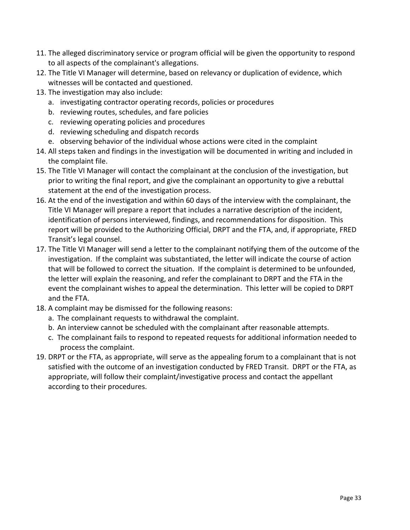- 11. The alleged discriminatory service or program official will be given the opportunity to respond to all aspects of the complainant's allegations.
- 12. The Title VI Manager will determine, based on relevancy or duplication of evidence, which witnesses will be contacted and questioned.
- 13. The investigation may also include:
	- a. investigating contractor operating records, policies or procedures
	- b. reviewing routes, schedules, and fare policies
	- c. reviewing operating policies and procedures
	- d. reviewing scheduling and dispatch records
	- e. observing behavior of the individual whose actions were cited in the complaint
- 14. All steps taken and findings in the investigation will be documented in writing and included in the complaint file.
- 15. The Title VI Manager will contact the complainant at the conclusion of the investigation, but prior to writing the final report, and give the complainant an opportunity to give a rebuttal statement at the end of the investigation process.
- 16. At the end of the investigation and within 60 days of the interview with the complainant, the Title VI Manager will prepare a report that includes a narrative description of the incident, identification of persons interviewed, findings, and recommendations for disposition. This report will be provided to the Authorizing Official, DRPT and the FTA, and, if appropriate, FRED Transit's legal counsel.
- 17. The Title VI Manager will send a letter to the complainant notifying them of the outcome of the investigation. If the complaint was substantiated, the letter will indicate the course of action that will be followed to correct the situation. If the complaint is determined to be unfounded, the letter will explain the reasoning, and refer the complainant to DRPT and the FTA in the event the complainant wishes to appeal the determination. This letter will be copied to DRPT and the FTA.
- 18. A complaint may be dismissed for the following reasons:
	- a. The complainant requests to withdrawal the complaint.
	- b. An interview cannot be scheduled with the complainant after reasonable attempts.
	- c. The complainant fails to respond to repeated requests for additional information needed to process the complaint.
- 19. DRPT or the FTA, as appropriate, will serve as the appealing forum to a complainant that is not satisfied with the outcome of an investigation conducted by FRED Transit. DRPT or the FTA, as appropriate, will follow their complaint/investigative process and contact the appellant according to their procedures.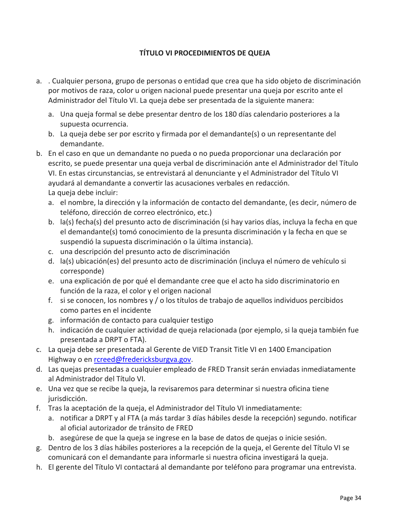# **TÍTULO VI PROCEDIMIENTOS DE QUEJA**

- a. . Cualquier persona, grupo de personas o entidad que crea que ha sido objeto de discriminación por motivos de raza, color u origen nacional puede presentar una queja por escrito ante el Administrador del Título VI. La queja debe ser presentada de la siguiente manera:
	- a. Una queja formal se debe presentar dentro de los 180 días calendario posteriores a la supuesta ocurrencia.
	- b. La queja debe ser por escrito y firmada por el demandante(s) o un representante del demandante.
- b. En el caso en que un demandante no pueda o no pueda proporcionar una declaración por escrito, se puede presentar una queja verbal de discriminación ante el Administrador del Título VI. En estas circunstancias, se entrevistará al denunciante y el Administrador del Título VI ayudará al demandante a convertir las acusaciones verbales en redacción. La queja debe incluir:
	- a. el nombre, la dirección y la información de contacto del demandante, (es decir, número de teléfono, dirección de correo electrónico, etc.)
	- b. la(s) fecha(s) del presunto acto de discriminación (si hay varios días, incluya la fecha en que el demandante(s) tomó conocimiento de la presunta discriminación y la fecha en que se suspendió la supuesta discriminación o la última instancia).
	- c. una descripción del presunto acto de discriminación
	- d. la(s) ubicación(es) del presunto acto de discriminación (incluya el número de vehículo si corresponde)
	- e. una explicación de por qué el demandante cree que el acto ha sido discriminatorio en función de la raza, el color y el origen nacional
	- f. si se conocen, los nombres y / o los títulos de trabajo de aquellos individuos percibidos como partes en el incidente
	- g. información de contacto para cualquier testigo
	- h. indicación de cualquier actividad de queja relacionada (por ejemplo, si la queja también fue presentada a DRPT o FTA).
- c. La queja debe ser presentada al Gerente de VIED Transit Title VI en 1400 Emancipation Highway o en rcreed@fredericksburgva.gov.
- d. Las quejas presentadas a cualquier empleado de FRED Transit serán enviadas inmediatamente al Administrador del Título VI.
- e. Una vez que se recibe la queja, la revisaremos para determinar si nuestra oficina tiene jurisdicción.
- f. Tras la aceptación de la queja, el Administrador del Título VI inmediatamente:
	- a. notificar a DRPT y al FTA (a más tardar 3 días hábiles desde la recepción) segundo. notificar al oficial autorizador de tránsito de FRED
	- b. asegúrese de que la queja se ingrese en la base de datos de quejas o inicie sesión.
- g. Dentro de los 3 días hábiles posteriores a la recepción de la queja, el Gerente del Título VI se comunicará con el demandante para informarle si nuestra oficina investigará la queja.
- h. El gerente del Título VI contactará al demandante por teléfono para programar una entrevista.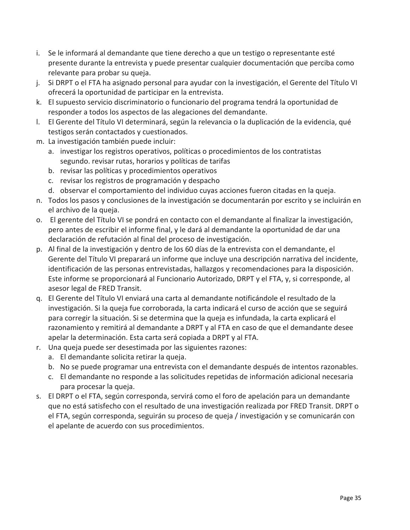- i. Se le informará al demandante que tiene derecho a que un testigo o representante esté presente durante la entrevista y puede presentar cualquier documentación que perciba como relevante para probar su queja.
- j. Si DRPT o el FTA ha asignado personal para ayudar con la investigación, el Gerente del Título VI ofrecerá la oportunidad de participar en la entrevista.
- k. El supuesto servicio discriminatorio o funcionario del programa tendrá la oportunidad de responder a todos los aspectos de las alegaciones del demandante.
- l. El Gerente del Título VI determinará, según la relevancia o la duplicación de la evidencia, qué testigos serán contactados y cuestionados.
- m. La investigación también puede incluir:
	- a. investigar los registros operativos, políticas o procedimientos de los contratistas segundo. revisar rutas, horarios y políticas de tarifas
	- b. revisar las políticas y procedimientos operativos
	- c. revisar los registros de programación y despacho
	- d. observar el comportamiento del individuo cuyas acciones fueron citadas en la queja.
- n. Todos los pasos y conclusiones de la investigación se documentarán por escrito y se incluirán en el archivo de la queja.
- o. El gerente del Título VI se pondrá en contacto con el demandante al finalizar la investigación, pero antes de escribir el informe final, y le dará al demandante la oportunidad de dar una declaración de refutación al final del proceso de investigación.
- p. Al final de la investigación y dentro de los 60 días de la entrevista con el demandante, el Gerente del Título VI preparará un informe que incluye una descripción narrativa del incidente, identificación de las personas entrevistadas, hallazgos y recomendaciones para la disposición. Este informe se proporcionará al Funcionario Autorizado, DRPT y el FTA, y, si corresponde, al asesor legal de FRED Transit.
- q. El Gerente del Título VI enviará una carta al demandante notificándole el resultado de la investigación. Si la queja fue corroborada, la carta indicará el curso de acción que se seguirá para corregir la situación. Si se determina que la queja es infundada, la carta explicará el razonamiento y remitirá al demandante a DRPT y al FTA en caso de que el demandante desee apelar la determinación. Esta carta será copiada a DRPT y al FTA.
- r. Una queja puede ser desestimada por las siguientes razones:
	- a. El demandante solicita retirar la queja.
	- b. No se puede programar una entrevista con el demandante después de intentos razonables.
	- c. El demandante no responde a las solicitudes repetidas de información adicional necesaria para procesar la queja.
- s. El DRPT o el FTA, según corresponda, servirá como el foro de apelación para un demandante que no está satisfecho con el resultado de una investigación realizada por FRED Transit. DRPT o el FTA, según corresponda, seguirán su proceso de queja / investigación y se comunicarán con el apelante de acuerdo con sus procedimientos.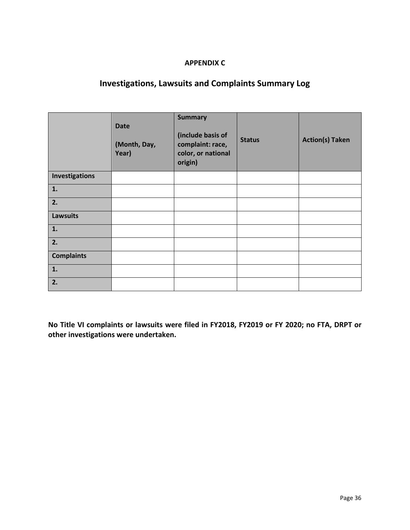#### **APPENDIX C**

# **Investigations, Lawsuits and Complaints Summary Log**

|                   | <b>Date</b><br>(Month, Day,<br>Year) | <b>Summary</b><br>(include basis of<br>complaint: race,<br>color, or national<br>origin) | <b>Status</b> | <b>Action(s) Taken</b> |
|-------------------|--------------------------------------|------------------------------------------------------------------------------------------|---------------|------------------------|
| Investigations    |                                      |                                                                                          |               |                        |
| 1.                |                                      |                                                                                          |               |                        |
| 2.                |                                      |                                                                                          |               |                        |
| <b>Lawsuits</b>   |                                      |                                                                                          |               |                        |
| 1.                |                                      |                                                                                          |               |                        |
| 2.                |                                      |                                                                                          |               |                        |
| <b>Complaints</b> |                                      |                                                                                          |               |                        |
| 1.                |                                      |                                                                                          |               |                        |
| 2.                |                                      |                                                                                          |               |                        |

**No Title VI complaints or lawsuits were filed in FY2018, FY2019 or FY 2020; no FTA, DRPT or other investigations were undertaken.**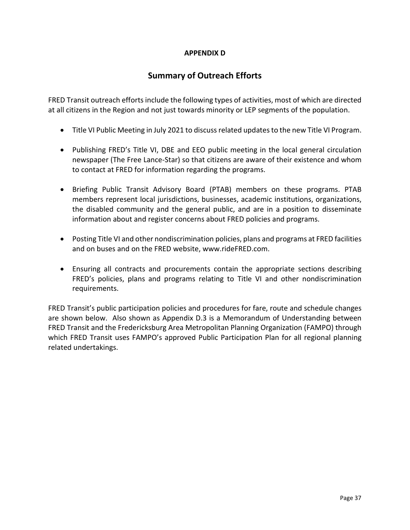#### **APPENDIX D**

# **Summary of Outreach Efforts**

FRED Transit outreach efforts include the following types of activities, most of which are directed at all citizens in the Region and not just towards minority or LEP segments of the population.

- Title VI Public Meeting in July 2021 to discuss related updates to the new Title VI Program.
- Publishing FRED's Title VI, DBE and EEO public meeting in the local general circulation newspaper (The Free Lance-Star) so that citizens are aware of their existence and whom to contact at FRED for information regarding the programs.
- Briefing Public Transit Advisory Board (PTAB) members on these programs. PTAB members represent local jurisdictions, businesses, academic institutions, organizations, the disabled community and the general public, and are in a position to disseminate information about and register concerns about FRED policies and programs.
- Posting Title VI and other nondiscrimination policies, plans and programs at FRED facilities and on buses and on the FRED website, www.rideFRED.com.
- Ensuring all contracts and procurements contain the appropriate sections describing FRED's policies, plans and programs relating to Title VI and other nondiscrimination requirements.

FRED Transit's public participation policies and procedures for fare, route and schedule changes are shown below. Also shown as Appendix D.3 is a Memorandum of Understanding between FRED Transit and the Fredericksburg Area Metropolitan Planning Organization (FAMPO) through which FRED Transit uses FAMPO's approved Public Participation Plan for all regional planning related undertakings.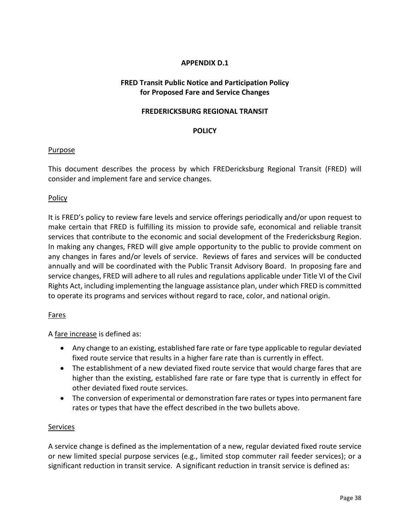#### **APPENDIX D.1**

#### **FRED Transit Public Notice and Participation Policy for Proposed Fare and Service Changes**

#### **FREDERICKSBURG REGIONAL TRANSIT**

#### **POLICY**

#### Purpose

This document describes the process by which FREDericksburg Regional Transit (FRED) will consider and implement fare and service changes.

#### **Policy**

It is FRED's policy to review fare levels and service offerings periodically and/or upon request to make certain that FRED is fulfilling its mission to provide safe, economical and reliable transit services that contribute to the economic and social development of the Fredericksburg Region. In making any changes, FRED will give ample opportunity to the public to provide comment on any changes in fares and/or levels of service. Reviews of fares and services will be conducted annually and will be coordinated with the Public Transit Advisory Board. In proposing fare and service changes, FRED will adhere to all rules and regulations applicable under Title VI of the Civil Rights Act, including implementing the language assistance plan, under which FRED is committed to operate its programs and services without regard to race, color, and national origin.

#### Fares

A fare increase is defined as:

- Any change to an existing, established fare rate or fare type applicable to regular deviated fixed route service that results in a higher fare rate than is currently in effect.
- The establishment of a new deviated fixed route service that would charge fares that are higher than the existing, established fare rate or fare type that is currently in effect for other deviated fixed route services.
- The conversion of experimental or demonstration fare rates or types into permanent fare rates or types that have the effect described in the two bullets above.

#### **Services**

A service change is defined as the implementation of a new, regular deviated fixed route service or new limited special purpose services (e.g., limited stop commuter rail feeder services); or a significant reduction in transit service. A significant reduction in transit service is defined as: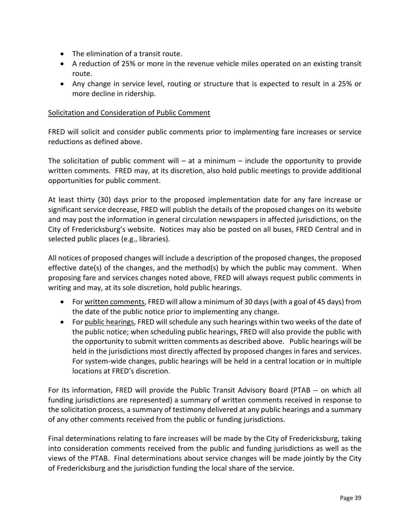- The elimination of a transit route.
- A reduction of 25% or more in the revenue vehicle miles operated on an existing transit route.
- Any change in service level, routing or structure that is expected to result in a 25% or more decline in ridership.

#### Solicitation and Consideration of Public Comment

FRED will solicit and consider public comments prior to implementing fare increases or service reductions as defined above.

The solicitation of public comment will  $-$  at a minimum  $-$  include the opportunity to provide written comments. FRED may, at its discretion, also hold public meetings to provide additional opportunities for public comment.

At least thirty (30) days prior to the proposed implementation date for any fare increase or significant service decrease, FRED will publish the details of the proposed changes on its website and may post the information in general circulation newspapers in affected jurisdictions, on the City of Fredericksburg's website. Notices may also be posted on all buses, FRED Central and in selected public places (e.g., libraries).

All notices of proposed changes will include a description of the proposed changes, the proposed effective date(s) of the changes, and the method(s) by which the public may comment. When proposing fare and services changes noted above, FRED will always request public comments in writing and may, at its sole discretion, hold public hearings.

- For written comments, FRED will allow a minimum of 30 days (with a goal of 45 days) from the date of the public notice prior to implementing any change.
- For public hearings, FRED will schedule any such hearings within two weeks of the date of the public notice; when scheduling public hearings, FRED will also provide the public with the opportunity to submit written comments as described above. Public hearings will be held in the jurisdictions most directly affected by proposed changes in fares and services. For system-wide changes, public hearings will be held in a central location or in multiple locations at FRED's discretion.

For its information, FRED will provide the Public Transit Advisory Board (PTAB -- on which all funding jurisdictions are represented) a summary of written comments received in response to the solicitation process, a summary of testimony delivered at any public hearings and a summary of any other comments received from the public or funding jurisdictions.

Final determinations relating to fare increases will be made by the City of Fredericksburg, taking into consideration comments received from the public and funding jurisdictions as well as the views of the PTAB. Final determinations about service changes will be made jointly by the City of Fredericksburg and the jurisdiction funding the local share of the service.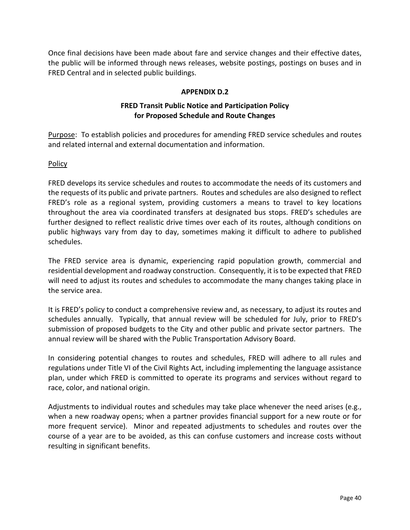Once final decisions have been made about fare and service changes and their effective dates, the public will be informed through news releases, website postings, postings on buses and in FRED Central and in selected public buildings.

#### **APPENDIX D.2**

#### **FRED Transit Public Notice and Participation Policy for Proposed Schedule and Route Changes**

Purpose: To establish policies and procedures for amending FRED service schedules and routes and related internal and external documentation and information.

#### Policy

FRED develops its service schedules and routes to accommodate the needs of its customers and the requests of its public and private partners. Routes and schedules are also designed to reflect FRED's role as a regional system, providing customers a means to travel to key locations throughout the area via coordinated transfers at designated bus stops. FRED's schedules are further designed to reflect realistic drive times over each of its routes, although conditions on public highways vary from day to day, sometimes making it difficult to adhere to published schedules.

The FRED service area is dynamic, experiencing rapid population growth, commercial and residential development and roadway construction. Consequently, it is to be expected that FRED will need to adjust its routes and schedules to accommodate the many changes taking place in the service area.

It is FRED's policy to conduct a comprehensive review and, as necessary, to adjust its routes and schedules annually. Typically, that annual review will be scheduled for July, prior to FRED's submission of proposed budgets to the City and other public and private sector partners. The annual review will be shared with the Public Transportation Advisory Board.

In considering potential changes to routes and schedules, FRED will adhere to all rules and regulations under Title VI of the Civil Rights Act, including implementing the language assistance plan, under which FRED is committed to operate its programs and services without regard to race, color, and national origin.

Adjustments to individual routes and schedules may take place whenever the need arises (e.g., when a new roadway opens; when a partner provides financial support for a new route or for more frequent service). Minor and repeated adjustments to schedules and routes over the course of a year are to be avoided, as this can confuse customers and increase costs without resulting in significant benefits.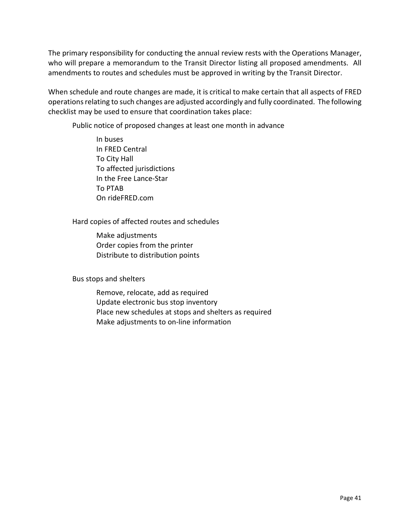The primary responsibility for conducting the annual review rests with the Operations Manager, who will prepare a memorandum to the Transit Director listing all proposed amendments. All amendments to routes and schedules must be approved in writing by the Transit Director.

When schedule and route changes are made, it is critical to make certain that all aspects of FRED operations relating to such changes are adjusted accordingly and fully coordinated. The following checklist may be used to ensure that coordination takes place:

Public notice of proposed changes at least one month in advance

In buses In FRED Central To City Hall To affected jurisdictions In the Free Lance-Star To PTAB On rideFRED.com

#### Hard copies of affected routes and schedules

Make adjustments Order copies from the printer Distribute to distribution points

Bus stops and shelters

Remove, relocate, add as required Update electronic bus stop inventory Place new schedules at stops and shelters as required Make adjustments to on-line information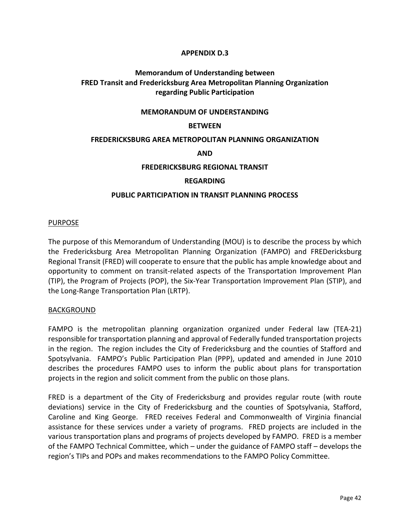#### **APPENDIX D.3**

#### **Memorandum of Understanding between FRED Transit and Fredericksburg Area Metropolitan Planning Organization regarding Public Participation**

#### **MEMORANDUM OF UNDERSTANDING**

#### **BETWEEN**

#### **FREDERICKSBURG AREA METROPOLITAN PLANNING ORGANIZATION**

#### **AND**

#### **FREDERICKSBURG REGIONAL TRANSIT**

#### **REGARDING**

#### **PUBLIC PARTICIPATION IN TRANSIT PLANNING PROCESS**

#### PURPOSE

The purpose of this Memorandum of Understanding (MOU) is to describe the process by which the Fredericksburg Area Metropolitan Planning Organization (FAMPO) and FREDericksburg Regional Transit (FRED) will cooperate to ensure that the public has ample knowledge about and opportunity to comment on transit-related aspects of the Transportation Improvement Plan (TIP), the Program of Projects (POP), the Six-Year Transportation Improvement Plan (STIP), and the Long-Range Transportation Plan (LRTP).

#### BACKGROUND

FAMPO is the metropolitan planning organization organized under Federal law (TEA-21) responsible for transportation planning and approval of Federally funded transportation projects in the region. The region includes the City of Fredericksburg and the counties of Stafford and Spotsylvania. FAMPO's Public Participation Plan (PPP), updated and amended in June 2010 describes the procedures FAMPO uses to inform the public about plans for transportation projects in the region and solicit comment from the public on those plans.

FRED is a department of the City of Fredericksburg and provides regular route (with route deviations) service in the City of Fredericksburg and the counties of Spotsylvania, Stafford, Caroline and King George. FRED receives Federal and Commonwealth of Virginia financial assistance for these services under a variety of programs. FRED projects are included in the various transportation plans and programs of projects developed by FAMPO. FRED is a member of the FAMPO Technical Committee, which – under the guidance of FAMPO staff – develops the region's TIPs and POPs and makes recommendations to the FAMPO Policy Committee.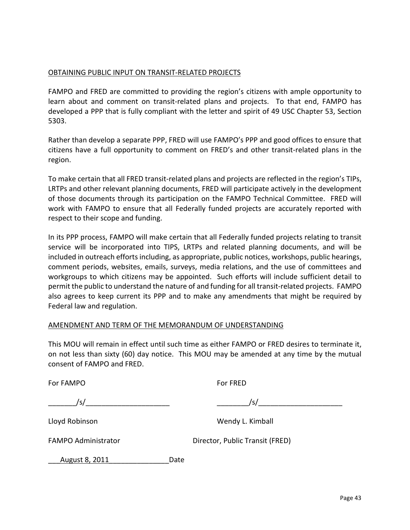#### OBTAINING PUBLIC INPUT ON TRANSIT-RELATED PROJECTS

FAMPO and FRED are committed to providing the region's citizens with ample opportunity to learn about and comment on transit-related plans and projects. To that end, FAMPO has developed a PPP that is fully compliant with the letter and spirit of 49 USC Chapter 53, Section 5303.

Rather than develop a separate PPP, FRED will use FAMPO's PPP and good offices to ensure that citizens have a full opportunity to comment on FRED's and other transit-related plans in the region.

To make certain that all FRED transit-related plans and projects are reflected in the region's TIPs, LRTPs and other relevant planning documents, FRED will participate actively in the development of those documents through its participation on the FAMPO Technical Committee. FRED will work with FAMPO to ensure that all Federally funded projects are accurately reported with respect to their scope and funding.

In its PPP process, FAMPO will make certain that all Federally funded projects relating to transit service will be incorporated into TIPS, LRTPs and related planning documents, and will be included in outreach efforts including, as appropriate, public notices, workshops, public hearings, comment periods, websites, emails, surveys, media relations, and the use of committees and workgroups to which citizens may be appointed. Such efforts will include sufficient detail to permit the public to understand the nature of and funding for all transit-related projects. FAMPO also agrees to keep current its PPP and to make any amendments that might be required by Federal law and regulation.

#### AMENDMENT AND TERM OF THE MEMORANDUM OF UNDERSTANDING

This MOU will remain in effect until such time as either FAMPO or FRED desires to terminate it, on not less than sixty (60) day notice. This MOU may be amended at any time by the mutual consent of FAMPO and FRED.

For FAMPO **For FRED** 

 $\sqrt{s/2}$ 

Lloyd Robinson Wendy L. Kimball

FAMPO Administrator Director, Public Transit (FRED)

August 8, 2011 Date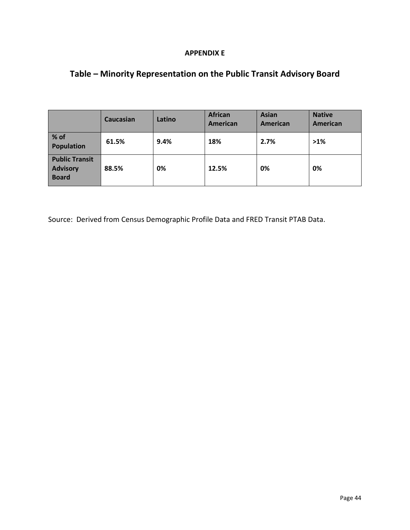#### **APPENDIX E**

# **Table – Minority Representation on the Public Transit Advisory Board**

|                                                          | Caucasian | Latino | <b>African</b><br>American | <b>Asian</b><br>American | <b>Native</b><br>American |
|----------------------------------------------------------|-----------|--------|----------------------------|--------------------------|---------------------------|
| % of<br><b>Population</b>                                | 61.5%     | 9.4%   | 18%                        | 2.7%                     | $>1\%$                    |
| <b>Public Transit</b><br><b>Advisory</b><br><b>Board</b> | 88.5%     | 0%     | 12.5%                      | 0%                       | 0%                        |

Source: Derived from Census Demographic Profile Data and FRED Transit PTAB Data.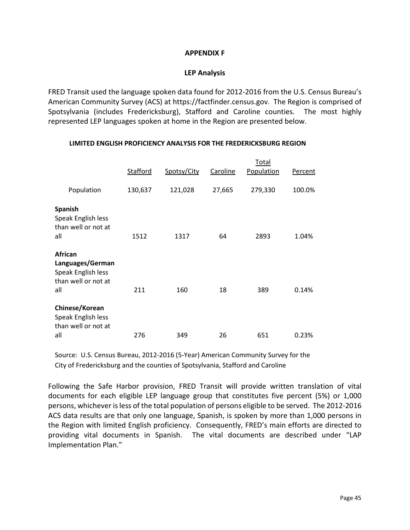#### **APPENDIX F**

#### **LEP Analysis**

FRED Transit used the language spoken data found for 2012-2016 from the U.S. Census Bureau's American Community Survey (ACS) at https://factfinder.census.gov. The Region is comprised of Spotsylvania (includes Fredericksburg), Stafford and Caroline counties. The most highly represented LEP languages spoken at home in the Region are presented below.

|                                                                                 | Stafford | Spotsy/City | Caroline | Total<br>Population | Percent |
|---------------------------------------------------------------------------------|----------|-------------|----------|---------------------|---------|
| Population                                                                      | 130,637  | 121,028     | 27,665   | 279,330             | 100.0%  |
| <b>Spanish</b><br>Speak English less<br>than well or not at<br>all              | 1512     | 1317        | 64       | 2893                | 1.04%   |
| African<br>Languages/German<br>Speak English less<br>than well or not at<br>all | 211      | 160         | 18       | 389                 | 0.14%   |
| Chinese/Korean<br>Speak English less<br>than well or not at<br>all              | 276      | 349         | 26       | 651                 | 0.23%   |

#### **LIMITED ENGLISH PROFICIENCY ANALYSIS FOR THE FREDERICKSBURG REGION**

Source: U.S. Census Bureau, 2012-2016 (5-Year) American Community Survey for the City of Fredericksburg and the counties of Spotsylvania, Stafford and Caroline

Following the Safe Harbor provision, FRED Transit will provide written translation of vital documents for each eligible LEP language group that constitutes five percent (5%) or 1,000 persons, whichever is less of the total population of persons eligible to be served. The 2012-2016 ACS data results are that only one language, Spanish, is spoken by more than 1,000 persons in the Region with limited English proficiency. Consequently, FRED's main efforts are directed to providing vital documents in Spanish. The vital documents are described under "LAP Implementation Plan."